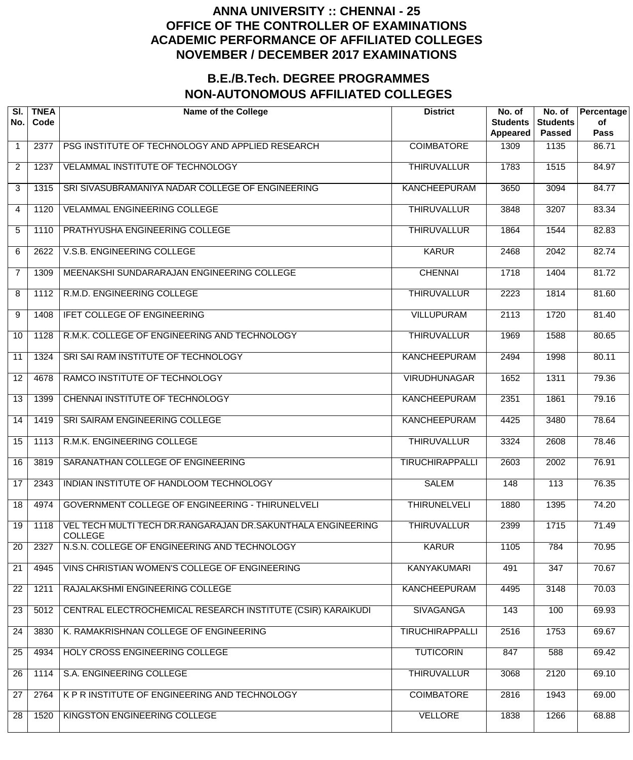| SI.<br>No.     | <b>TNEA</b><br>Code | <b>Name of the College</b>                                                    | <b>District</b>        | No. of<br><b>Students</b><br>Appeared | No. of<br><b>Students</b><br><b>Passed</b> | Percentage<br>of<br><b>Pass</b> |
|----------------|---------------------|-------------------------------------------------------------------------------|------------------------|---------------------------------------|--------------------------------------------|---------------------------------|
| $\mathbf 1$    | 2377                | PSG INSTITUTE OF TECHNOLOGY AND APPLIED RESEARCH                              | <b>COIMBATORE</b>      | 1309                                  | 1135                                       | 86.71                           |
| $\overline{2}$ | 1237                | VELAMMAL INSTITUTE OF TECHNOLOGY                                              | <b>THIRUVALLUR</b>     | 1783                                  | 1515                                       | 84.97                           |
| 3              | 1315                | SRI SIVASUBRAMANIYA NADAR COLLEGE OF ENGINEERING                              | <b>KANCHEEPURAM</b>    | 3650                                  | 3094                                       | 84.77                           |
| 4              | 1120                | <b>VELAMMAL ENGINEERING COLLEGE</b>                                           | <b>THIRUVALLUR</b>     | 3848                                  | 3207                                       | 83.34                           |
| 5              | 1110                | PRATHYUSHA ENGINEERING COLLEGE                                                | <b>THIRUVALLUR</b>     | 1864                                  | 1544                                       | 82.83                           |
| 6              | 2622                | V.S.B. ENGINEERING COLLEGE                                                    | <b>KARUR</b>           | 2468                                  | $\sqrt{2042}$                              | 82.74                           |
| $\overline{7}$ | 1309                | MEENAKSHI SUNDARARAJAN ENGINEERING COLLEGE                                    | <b>CHENNAI</b>         | 1718                                  | 1404                                       | 81.72                           |
| 8              | 1112                | R.M.D. ENGINEERING COLLEGE                                                    | <b>THIRUVALLUR</b>     | 2223                                  | 1814                                       | 81.60                           |
| 9              | 1408                | <b>IFET COLLEGE OF ENGINEERING</b>                                            | <b>VILLUPURAM</b>      | 2113                                  | 1720                                       | 81.40                           |
| 10             | 1128                | R.M.K. COLLEGE OF ENGINEERING AND TECHNOLOGY                                  | <b>THIRUVALLUR</b>     | 1969                                  | 1588                                       | 80.65                           |
| 11             | 1324                | SRI SAI RAM INSTITUTE OF TECHNOLOGY                                           | <b>KANCHEEPURAM</b>    | 2494                                  | 1998                                       | 80.11                           |
| 12             | 4678                | RAMCO INSTITUTE OF TECHNOLOGY                                                 | <b>VIRUDHUNAGAR</b>    | 1652                                  | 1311                                       | 79.36                           |
| 13             | 1399                | CHENNAI INSTITUTE OF TECHNOLOGY                                               | <b>KANCHEEPURAM</b>    | 2351                                  | 1861                                       | 79.16                           |
| 14             | 1419                | SRI SAIRAM ENGINEERING COLLEGE                                                | <b>KANCHEEPURAM</b>    | 4425                                  | 3480                                       | 78.64                           |
| 15             | 1113                | R.M.K. ENGINEERING COLLEGE                                                    | <b>THIRUVALLUR</b>     | 3324                                  | 2608                                       | $\overline{78.46}$              |
| 16             | 3819                | SARANATHAN COLLEGE OF ENGINEERING                                             | <b>TIRUCHIRAPPALLI</b> | 2603                                  | 2002                                       | 76.91                           |
| 17             | 2343                | INDIAN INSTITUTE OF HANDLOOM TECHNOLOGY                                       | <b>SALEM</b>           | 148                                   | 113                                        | 76.35                           |
| 18             | 4974                | <b>GOVERNMENT COLLEGE OF ENGINEERING - THIRUNELVELI</b>                       | <b>THIRUNELVELI</b>    | 1880                                  | 1395                                       | 74.20                           |
| 19             | 1118                | VEL TECH MULTI TECH DR.RANGARAJAN DR.SAKUNTHALA ENGINEERING<br><b>COLLEGE</b> | <b>THIRUVALLUR</b>     | 2399                                  | 1715                                       | 71.49                           |
| 20             | 2327                | N.S.N. COLLEGE OF ENGINEERING AND TECHNOLOGY                                  | <b>KARUR</b>           | 1105                                  | 784                                        | 70.95                           |
| 21             | 4945                | VINS CHRISTIAN WOMEN'S COLLEGE OF ENGINEERING                                 | <b>KANYAKUMARI</b>     | 491                                   | $\overline{347}$                           | 70.67                           |
| 22             | 1211                | RAJALAKSHMI ENGINEERING COLLEGE                                               | <b>KANCHEEPURAM</b>    | 4495                                  | 3148                                       | 70.03                           |
| 23             | 5012                | CENTRAL ELECTROCHEMICAL RESEARCH INSTITUTE (CSIR) KARAIKUDI                   | <b>SIVAGANGA</b>       | 143                                   | 100                                        | 69.93                           |
| 24             | 3830                | K. RAMAKRISHNAN COLLEGE OF ENGINEERING                                        | <b>TIRUCHIRAPPALLI</b> | 2516                                  | 1753                                       | 69.67                           |
| 25             | 4934                | HOLY CROSS ENGINEERING COLLEGE                                                | <b>TUTICORIN</b>       | 847                                   | 588                                        | 69.42                           |
| 26             | 1114                | S.A. ENGINEERING COLLEGE                                                      | <b>THIRUVALLUR</b>     | 3068                                  | 2120                                       | 69.10                           |
| 27             | 2764                | K P R INSTITUTE OF ENGINEERING AND TECHNOLOGY                                 | <b>COIMBATORE</b>      | 2816                                  | 1943                                       | 69.00                           |
| 28             | 1520                | KINGSTON ENGINEERING COLLEGE                                                  | <b>VELLORE</b>         | 1838                                  | 1266                                       | 68.88                           |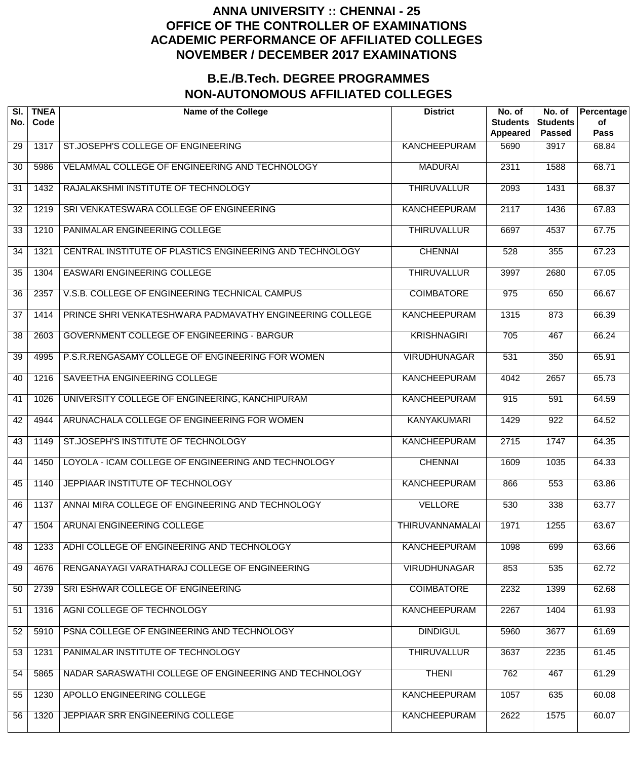| SI.<br>No.      | <b>TNEA</b><br>Code | <b>Name of the College</b>                               | <b>District</b>        | No. of<br><b>Students</b><br>Appeared | No. of<br><b>Students</b><br><b>Passed</b> | Percentage<br>of<br><b>Pass</b> |
|-----------------|---------------------|----------------------------------------------------------|------------------------|---------------------------------------|--------------------------------------------|---------------------------------|
| 29              | 1317                | ST.JOSEPH'S COLLEGE OF ENGINEERING                       | <b>KANCHEEPURAM</b>    | 5690                                  | 3917                                       | 68.84                           |
| 30              | 5986                | VELAMMAL COLLEGE OF ENGINEERING AND TECHNOLOGY           | <b>MADURAI</b>         | 2311                                  | 1588                                       | 68.71                           |
| 31              | 1432                | RAJALAKSHMI INSTITUTE OF TECHNOLOGY                      | <b>THIRUVALLUR</b>     | 2093                                  | 1431                                       | 68.37                           |
| 32              | 1219                | SRI VENKATESWARA COLLEGE OF ENGINEERING                  | <b>KANCHEEPURAM</b>    | 2117                                  | 1436                                       | 67.83                           |
| 33              | 1210                | PANIMALAR ENGINEERING COLLEGE                            | <b>THIRUVALLUR</b>     | 6697                                  | 4537                                       | 67.75                           |
| 34              | 1321                | CENTRAL INSTITUTE OF PLASTICS ENGINEERING AND TECHNOLOGY | <b>CHENNAI</b>         | 528                                   | 355                                        | 67.23                           |
| $\overline{35}$ | 1304                | <b>EASWARI ENGINEERING COLLEGE</b>                       | <b>THIRUVALLUR</b>     | 3997                                  | 2680                                       | 67.05                           |
| 36              | 2357                | V.S.B. COLLEGE OF ENGINEERING TECHNICAL CAMPUS           | <b>COIMBATORE</b>      | 975                                   | 650                                        | 66.67                           |
| $\overline{37}$ | 1414                | PRINCE SHRI VENKATESHWARA PADMAVATHY ENGINEERING COLLEGE | <b>KANCHEEPURAM</b>    | 1315                                  | 873                                        | 66.39                           |
| 38              | 2603                | GOVERNMENT COLLEGE OF ENGINEERING - BARGUR               | <b>KRISHNAGIRI</b>     | $\overline{705}$                      | 467                                        | 66.24                           |
| 39              | 4995                | P.S.R.RENGASAMY COLLEGE OF ENGINEERING FOR WOMEN         | <b>VIRUDHUNAGAR</b>    | 531                                   | 350                                        | 65.91                           |
| 40              | 1216                | SAVEETHA ENGINEERING COLLEGE                             | <b>KANCHEEPURAM</b>    | 4042                                  | 2657                                       | 65.73                           |
| 41              | 1026                | UNIVERSITY COLLEGE OF ENGINEERING, KANCHIPURAM           | <b>KANCHEEPURAM</b>    | 915                                   | 591                                        | 64.59                           |
| 42              | 4944                | ARUNACHALA COLLEGE OF ENGINEERING FOR WOMEN              | <b>KANYAKUMARI</b>     | 1429                                  | 922                                        | 64.52                           |
| 43              | 1149                | ST.JOSEPH'S INSTITUTE OF TECHNOLOGY                      | <b>KANCHEEPURAM</b>    | 2715                                  | 1747                                       | 64.35                           |
| 44              | 1450                | LOYOLA - ICAM COLLEGE OF ENGINEERING AND TECHNOLOGY      | <b>CHENNAI</b>         | 1609                                  | 1035                                       | 64.33                           |
| 45              | 1140                | JEPPIAAR INSTITUTE OF TECHNOLOGY                         | <b>KANCHEEPURAM</b>    | 866                                   | 553                                        | 63.86                           |
| 46              | 1137                | ANNAI MIRA COLLEGE OF ENGINEERING AND TECHNOLOGY         | <b>VELLORE</b>         | 530                                   | 338                                        | 63.77                           |
| 47              | 1504                | ARUNAI ENGINEERING COLLEGE                               | <b>THIRUVANNAMALAI</b> | 1971                                  | 1255                                       | 63.67                           |
| 48              | 1233                | ADHI COLLEGE OF ENGINEERING AND TECHNOLOGY               | <b>KANCHEEPURAM</b>    | 1098                                  | 699                                        | 63.66                           |
| 49              | 4676                | RENGANAYAGI VARATHARAJ COLLEGE OF ENGINEERING            | <b>VIRUDHUNAGAR</b>    | 853                                   | 535                                        | 62.72                           |
| 50              | 2739                | SRI ESHWAR COLLEGE OF ENGINEERING                        | <b>COIMBATORE</b>      | 2232                                  | 1399                                       | 62.68                           |
| 51              | 1316                | AGNI COLLEGE OF TECHNOLOGY                               | <b>KANCHEEPURAM</b>    | 2267                                  | 1404                                       | 61.93                           |
| 52              | 5910                | PSNA COLLEGE OF ENGINEERING AND TECHNOLOGY               | <b>DINDIGUL</b>        | 5960                                  | 3677                                       | 61.69                           |
| 53              | 1231                | PANIMALAR INSTITUTE OF TECHNOLOGY                        | <b>THIRUVALLUR</b>     | 3637                                  | 2235                                       | 61.45                           |
| 54              | 5865                | NADAR SARASWATHI COLLEGE OF ENGINEERING AND TECHNOLOGY   | <b>THENI</b>           | 762                                   | 467                                        | 61.29                           |
| 55              | 1230                | APOLLO ENGINEERING COLLEGE                               | <b>KANCHEEPURAM</b>    | 1057                                  | 635                                        | 60.08                           |
| 56              | 1320                | JEPPIAAR SRR ENGINEERING COLLEGE                         | <b>KANCHEEPURAM</b>    | 2622                                  | 1575                                       | 60.07                           |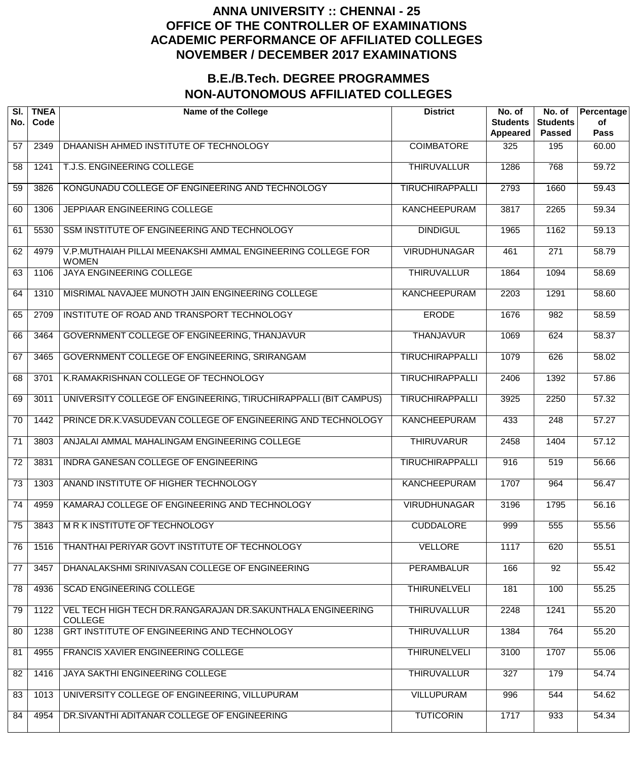| SI.<br>No.      | <b>TNEA</b><br>Code | <b>Name of the College</b>                                                   | <b>District</b>        | No. of<br><b>Students</b><br>Appeared | No. of<br><b>Students</b><br><b>Passed</b> | Percentage<br>of<br><b>Pass</b> |
|-----------------|---------------------|------------------------------------------------------------------------------|------------------------|---------------------------------------|--------------------------------------------|---------------------------------|
| 57              | 2349                | DHAANISH AHMED INSTITUTE OF TECHNOLOGY                                       | <b>COIMBATORE</b>      | 325                                   | 195                                        | 60.00                           |
| 58              | 1241                | T.J.S. ENGINEERING COLLEGE                                                   | <b>THIRUVALLUR</b>     | 1286                                  | 768                                        | 59.72                           |
| 59              | 3826                | KONGUNADU COLLEGE OF ENGINEERING AND TECHNOLOGY                              | <b>TIRUCHIRAPPALLI</b> | 2793                                  | 1660                                       | 59.43                           |
| 60              | 1306                | JEPPIAAR ENGINEERING COLLEGE                                                 | <b>KANCHEEPURAM</b>    | 3817                                  | 2265                                       | 59.34                           |
| 61              | 5530                | SSM INSTITUTE OF ENGINEERING AND TECHNOLOGY                                  | <b>DINDIGUL</b>        | 1965                                  | 1162                                       | 59.13                           |
| 62              | 4979                | V.P.MUTHAIAH PILLAI MEENAKSHI AMMAL ENGINEERING COLLEGE FOR<br><b>WOMEN</b>  | <b>VIRUDHUNAGAR</b>    | 461                                   | $\overline{271}$                           | 58.79                           |
| 63              | 1106                | <b>JAYA ENGINEERING COLLEGE</b>                                              | <b>THIRUVALLUR</b>     | 1864                                  | 1094                                       | 58.69                           |
| 64              | 1310                | MISRIMAL NAVAJEE MUNOTH JAIN ENGINEERING COLLEGE                             | <b>KANCHEEPURAM</b>    | 2203                                  | 1291                                       | 58.60                           |
| 65              | 2709                | INSTITUTE OF ROAD AND TRANSPORT TECHNOLOGY                                   | <b>ERODE</b>           | 1676                                  | 982                                        | 58.59                           |
| 66              | 3464                | GOVERNMENT COLLEGE OF ENGINEERING, THANJAVUR                                 | <b>THANJAVUR</b>       | 1069                                  | 624                                        | 58.37                           |
| 67              | 3465                | GOVERNMENT COLLEGE OF ENGINEERING, SRIRANGAM                                 | <b>TIRUCHIRAPPALLI</b> | 1079                                  | 626                                        | 58.02                           |
| 68              | 3701                | K.RAMAKRISHNAN COLLEGE OF TECHNOLOGY                                         | <b>TIRUCHIRAPPALLI</b> | 2406                                  | 1392                                       | 57.86                           |
| 69              | 3011                | UNIVERSITY COLLEGE OF ENGINEERING, TIRUCHIRAPPALLI (BIT CAMPUS)              | <b>TIRUCHIRAPPALLI</b> | 3925                                  | 2250                                       | 57.32                           |
| 70              | 1442                | PRINCE DR.K.VASUDEVAN COLLEGE OF ENGINEERING AND TECHNOLOGY                  | <b>KANCHEEPURAM</b>    | 433                                   | 248                                        | 57.27                           |
| 71              | 3803                | ANJALAI AMMAL MAHALINGAM ENGINEERING COLLEGE                                 | <b>THIRUVARUR</b>      | 2458                                  | 1404                                       | 57.12                           |
| $\overline{72}$ | 3831                | <b>INDRA GANESAN COLLEGE OF ENGINEERING</b>                                  | <b>TIRUCHIRAPPALLI</b> | 916                                   | 519                                        | 56.66                           |
| $\overline{73}$ | 1303                | ANAND INSTITUTE OF HIGHER TECHNOLOGY                                         | <b>KANCHEEPURAM</b>    | 1707                                  | 964                                        | 56.47                           |
| $\overline{74}$ | 4959                | KAMARAJ COLLEGE OF ENGINEERING AND TECHNOLOGY                                | <b>VIRUDHUNAGAR</b>    | 3196                                  | 1795                                       | 56.16                           |
| 75              | 3843                | M R K INSTITUTE OF TECHNOLOGY                                                | <b>CUDDALORE</b>       | 999                                   | 555                                        | 55.56                           |
| 76              | 1516                | THANTHAI PERIYAR GOVT INSTITUTE OF TECHNOLOGY                                | <b>VELLORE</b>         | 1117                                  | 620                                        | 55.51                           |
| 77              | 3457                | DHANALAKSHMI SRINIVASAN COLLEGE OF ENGINEERING                               | <b>PERAMBALUR</b>      | 166                                   | $\overline{92}$                            | 55.42                           |
| 78              | 4936                | <b>SCAD ENGINEERING COLLEGE</b>                                              | <b>THIRUNELVELI</b>    | 181                                   | 100                                        | 55.25                           |
| 79              | 1122                | VEL TECH HIGH TECH DR.RANGARAJAN DR.SAKUNTHALA ENGINEERING<br><b>COLLEGE</b> | <b>THIRUVALLUR</b>     | 2248                                  | 1241                                       | 55.20                           |
| 80              | 1238                | GRT INSTITUTE OF ENGINEERING AND TECHNOLOGY                                  | <b>THIRUVALLUR</b>     | 1384                                  | 764                                        | 55.20                           |
| 81              | 4955                | FRANCIS XAVIER ENGINEERING COLLEGE                                           | <b>THIRUNELVELI</b>    | 3100                                  | 1707                                       | 55.06                           |
| 82              | 1416                | JAYA SAKTHI ENGINEERING COLLEGE                                              | <b>THIRUVALLUR</b>     | 327                                   | 179                                        | 54.74                           |
| 83              | 1013                | UNIVERSITY COLLEGE OF ENGINEERING, VILLUPURAM                                | <b>VILLUPURAM</b>      | 996                                   | 544                                        | 54.62                           |
| 84              | 4954                | DR.SIVANTHI ADITANAR COLLEGE OF ENGINEERING                                  | <b>TUTICORIN</b>       | 1717                                  | 933                                        | 54.34                           |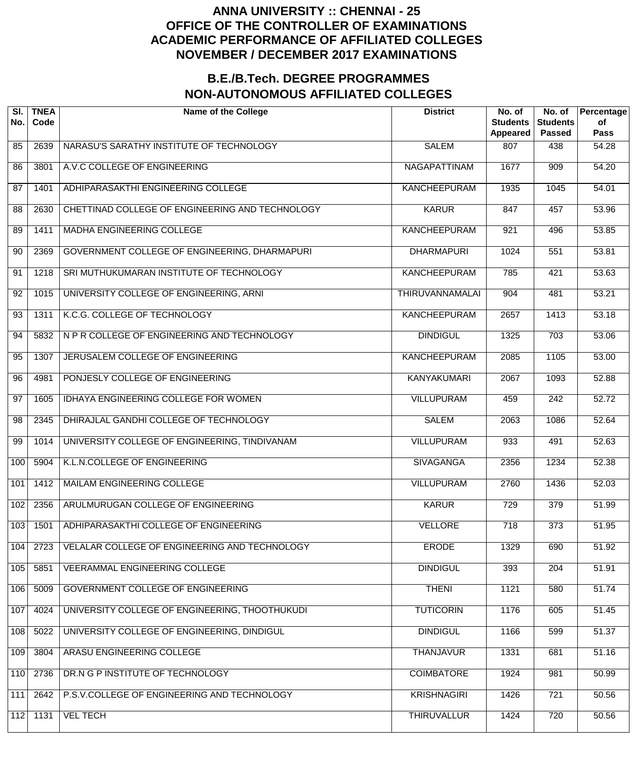| SI.<br>No.      | <b>TNEA</b><br>Code | <b>Name of the College</b>                      | <b>District</b>        | No. of<br><b>Students</b><br><b>Appeared</b> | No. of<br><b>Students</b><br><b>Passed</b> | Percentage<br>of<br><b>Pass</b> |
|-----------------|---------------------|-------------------------------------------------|------------------------|----------------------------------------------|--------------------------------------------|---------------------------------|
| 85              | 2639                | NARASU'S SARATHY INSTITUTE OF TECHNOLOGY        | <b>SALEM</b>           | 807                                          | 438                                        | 54.28                           |
| 86              | 3801                | A.V.C COLLEGE OF ENGINEERING                    | <b>NAGAPATTINAM</b>    | 1677                                         | 909                                        | 54.20                           |
| 87              | 1401                | ADHIPARASAKTHI ENGINEERING COLLEGE              | <b>KANCHEEPURAM</b>    | 1935                                         | 1045                                       | 54.01                           |
| 88              | 2630                | CHETTINAD COLLEGE OF ENGINEERING AND TECHNOLOGY | <b>KARUR</b>           | 847                                          | 457                                        | 53.96                           |
| 89              | 1411                | MADHA ENGINEERING COLLEGE                       | <b>KANCHEEPURAM</b>    | 921                                          | 496                                        | 53.85                           |
| 90              | 2369                | GOVERNMENT COLLEGE OF ENGINEERING, DHARMAPURI   | <b>DHARMAPURI</b>      | 1024                                         | 551                                        | 53.81                           |
| 91              | 1218                | SRI MUTHUKUMARAN INSTITUTE OF TECHNOLOGY        | <b>KANCHEEPURAM</b>    | 785                                          | 421                                        | 53.63                           |
| 92              | 1015                | UNIVERSITY COLLEGE OF ENGINEERING, ARNI         | <b>THIRUVANNAMALAI</b> | 904                                          | 481                                        | 53.21                           |
| 93              | 1311                | K.C.G. COLLEGE OF TECHNOLOGY                    | <b>KANCHEEPURAM</b>    | 2657                                         | 1413                                       | 53.18                           |
| 94              | 5832                | N P R COLLEGE OF ENGINEERING AND TECHNOLOGY     | <b>DINDIGUL</b>        | 1325                                         | 703                                        | 53.06                           |
| 95              | 1307                | JERUSALEM COLLEGE OF ENGINEERING                | <b>KANCHEEPURAM</b>    | 2085                                         | 1105                                       | 53.00                           |
| 96              | 4981                | PONJESLY COLLEGE OF ENGINEERING                 | <b>KANYAKUMARI</b>     | 2067                                         | $\frac{1}{1093}$                           | 52.88                           |
| $\overline{97}$ | 1605                | IDHAYA ENGINEERING COLLEGE FOR WOMEN            | <b>VILLUPURAM</b>      | 459                                          | $\overline{242}$                           | 52.72                           |
| 98              | 2345                | DHIRAJLAL GANDHI COLLEGE OF TECHNOLOGY          | <b>SALEM</b>           | 2063                                         | 1086                                       | 52.64                           |
| 99              | 1014                | UNIVERSITY COLLEGE OF ENGINEERING, TINDIVANAM   | <b>VILLUPURAM</b>      | 933                                          | 491                                        | 52.63                           |
| 100             | 5904                | K.L.N.COLLEGE OF ENGINEERING                    | <b>SIVAGANGA</b>       | 2356                                         | 1234                                       | 52.38                           |
| 101             | 1412                | <b>MAILAM ENGINEERING COLLEGE</b>               | <b>VILLUPURAM</b>      | 2760                                         | 1436                                       | 52.03                           |
| 102             | 2356                | ARULMURUGAN COLLEGE OF ENGINEERING              | <b>KARUR</b>           | 729                                          | 379                                        | 51.99                           |
| 103             | 1501                | ADHIPARASAKTHI COLLEGE OF ENGINEERING           | <b>VELLORE</b>         | 718                                          | $\overline{373}$                           | 51.95                           |
| 104             | 2723                | VELALAR COLLEGE OF ENGINEERING AND TECHNOLOGY   | <b>ERODE</b>           | 1329                                         | 690                                        | 51.92                           |
| 105             | 5851                | <b>VEERAMMAL ENGINEERING COLLEGE</b>            | <b>DINDIGUL</b>        | 393                                          | $\overline{204}$                           | 51.91                           |
| 106             | 5009                | <b>GOVERNMENT COLLEGE OF ENGINEERING</b>        | <b>THENI</b>           | 1121                                         | 580                                        | 51.74                           |
| 107             | 4024                | UNIVERSITY COLLEGE OF ENGINEERING, THOOTHUKUDI  | <b>TUTICORIN</b>       | 1176                                         | 605                                        | 51.45                           |
| 108             | 5022                | UNIVERSITY COLLEGE OF ENGINEERING, DINDIGUL     | <b>DINDIGUL</b>        | 1166                                         | 599                                        | 51.37                           |
| 109             | 3804                | ARASU ENGINEERING COLLEGE                       | <b>THANJAVUR</b>       | 1331                                         | 681                                        | 51.16                           |
| 110             | 2736                | DR.N G P INSTITUTE OF TECHNOLOGY                | <b>COIMBATORE</b>      | 1924                                         | 981                                        | 50.99                           |
| 111             | 2642                | P.S.V.COLLEGE OF ENGINEERING AND TECHNOLOGY     | <b>KRISHNAGIRI</b>     | 1426                                         | 721                                        | 50.56                           |
| 112             | 1131                | <b>VEL TECH</b>                                 | <b>THIRUVALLUR</b>     | 1424                                         | 720                                        | 50.56                           |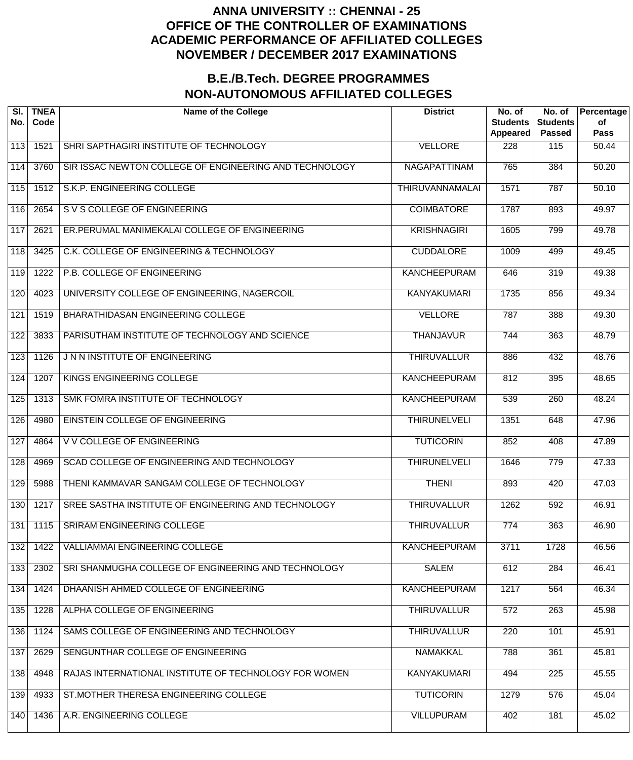| SI.<br>No. | <b>TNEA</b><br>Code | <b>Name of the College</b>                             | <b>District</b>        | No. of<br><b>Students</b><br>Appeared | No. of<br><b>Students</b><br><b>Passed</b> | Percentage<br>of<br><b>Pass</b> |
|------------|---------------------|--------------------------------------------------------|------------------------|---------------------------------------|--------------------------------------------|---------------------------------|
| 113        | 1521                | SHRI SAPTHAGIRI INSTITUTE OF TECHNOLOGY                | <b>VELLORE</b>         | 228                                   | 115                                        | 50.44                           |
| 114        | 3760                | SIR ISSAC NEWTON COLLEGE OF ENGINEERING AND TECHNOLOGY | NAGAPATTINAM           | 765                                   | 384                                        | 50.20                           |
| 115        | 1512                | S.K.P. ENGINEERING COLLEGE                             | <b>THIRUVANNAMALAI</b> | 1571                                  | 787                                        | 50.10                           |
| 116        | 2654                | S V S COLLEGE OF ENGINEERING                           | <b>COIMBATORE</b>      | 1787                                  | 893                                        | 49.97                           |
| 117        | 2621                | ER.PERUMAL MANIMEKALAI COLLEGE OF ENGINEERING          | <b>KRISHNAGIRI</b>     | 1605                                  | 799                                        | 49.78                           |
| 118        | 3425                | C.K. COLLEGE OF ENGINEERING & TECHNOLOGY               | <b>CUDDALORE</b>       | 1009                                  | 499                                        | 49.45                           |
| 119        | 1222                | P.B. COLLEGE OF ENGINEERING                            | <b>KANCHEEPURAM</b>    | 646                                   | 319                                        | 49.38                           |
| 120        | 4023                | UNIVERSITY COLLEGE OF ENGINEERING, NAGERCOIL           | <b>KANYAKUMARI</b>     | 1735                                  | 856                                        | 49.34                           |
| 121        | 1519                | BHARATHIDASAN ENGINEERING COLLEGE                      | <b>VELLORE</b>         | 787                                   | 388                                        | 49.30                           |
| 122        | 3833                | PARISUTHAM INSTITUTE OF TECHNOLOGY AND SCIENCE         | <b>THANJAVUR</b>       | 744                                   | 363                                        | 48.79                           |
| 123        | 1126                | JNN INSTITUTE OF ENGINEERING                           | <b>THIRUVALLUR</b>     | 886                                   | 432                                        | 48.76                           |
| 124        | 1207                | KINGS ENGINEERING COLLEGE                              | <b>KANCHEEPURAM</b>    | 812                                   | 395                                        | 48.65                           |
| 125        | 1313                | SMK FOMRA INSTITUTE OF TECHNOLOGY                      | <b>KANCHEEPURAM</b>    | 539                                   | $\overline{260}$                           | 48.24                           |
| 126        | 4980                | EINSTEIN COLLEGE OF ENGINEERING                        | <b>THIRUNELVELI</b>    | 1351                                  | 648                                        | 47.96                           |
| 127        | 4864                | V V COLLEGE OF ENGINEERING                             | <b>TUTICORIN</b>       | 852                                   | 408                                        | 47.89                           |
| 128        | 4969                | SCAD COLLEGE OF ENGINEERING AND TECHNOLOGY             | <b>THIRUNELVELI</b>    | 1646                                  | 779                                        | 47.33                           |
| 129        | 5988                | THENI KAMMAVAR SANGAM COLLEGE OF TECHNOLOGY            | <b>THENI</b>           | 893                                   | 420                                        | 47.03                           |
| 130        | 1217                | SREE SASTHA INSTITUTE OF ENGINEERING AND TECHNOLOGY    | <b>THIRUVALLUR</b>     | 1262                                  | 592                                        | 46.91                           |
| 131        | 1115                | <b>SRIRAM ENGINEERING COLLEGE</b>                      | <b>THIRUVALLUR</b>     | 774                                   | 363                                        | 46.90                           |
| 132        | 1422                | <b>VALLIAMMAI ENGINEERING COLLEGE</b>                  | <b>KANCHEEPURAM</b>    | 3711                                  | 1728                                       | 46.56                           |
| 133        | 2302                | SRI SHANMUGHA COLLEGE OF ENGINEERING AND TECHNOLOGY    | <b>SALEM</b>           | 612                                   | 284                                        | 46.41                           |
| 134        | 1424                | DHAANISH AHMED COLLEGE OF ENGINEERING                  | <b>KANCHEEPURAM</b>    | 1217                                  | 564                                        | 46.34                           |
| 135        | 1228                | ALPHA COLLEGE OF ENGINEERING                           | <b>THIRUVALLUR</b>     | 572                                   | $\overline{263}$                           | 45.98                           |
| 136        | 1124                | SAMS COLLEGE OF ENGINEERING AND TECHNOLOGY             | <b>THIRUVALLUR</b>     | 220                                   | 101                                        | 45.91                           |
| 137        | 2629                | SENGUNTHAR COLLEGE OF ENGINEERING                      | <b>NAMAKKAL</b>        | 788                                   | 361                                        | 45.81                           |
| 138        | 4948                | RAJAS INTERNATIONAL INSTITUTE OF TECHNOLOGY FOR WOMEN  | <b>KANYAKUMARI</b>     | 494                                   | $\overline{225}$                           | 45.55                           |
| 139        | 4933                | ST.MOTHER THERESA ENGINEERING COLLEGE                  | <b>TUTICORIN</b>       | 1279                                  | 576                                        | 45.04                           |
| 140        | 1436                | A.R. ENGINEERING COLLEGE                               | <b>VILLUPURAM</b>      | 402                                   | 181                                        | 45.02                           |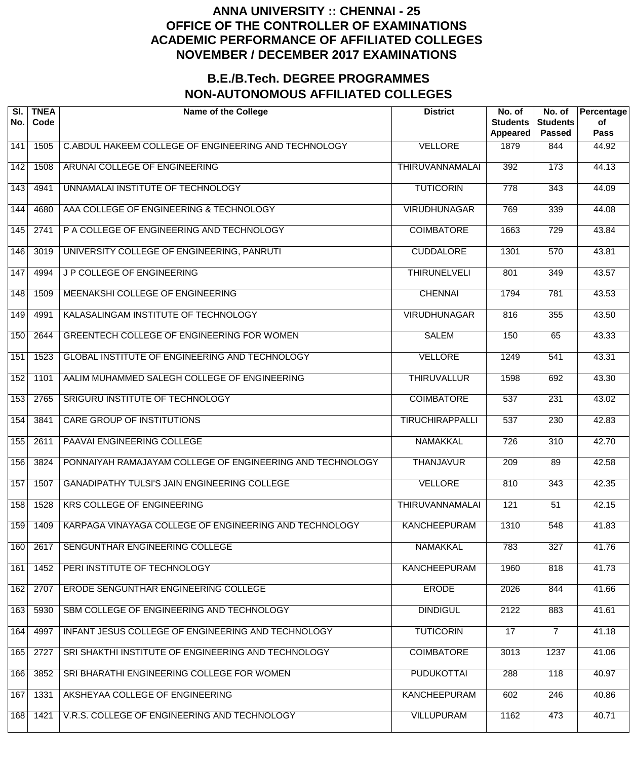| SI.<br>No.       | <b>TNEA</b><br>Code | <b>Name of the College</b>                                | <b>District</b>        | No. of<br><b>Students</b><br>Appeared | No. of<br><b>Students</b><br><b>Passed</b> | Percentage<br>of<br><b>Pass</b> |
|------------------|---------------------|-----------------------------------------------------------|------------------------|---------------------------------------|--------------------------------------------|---------------------------------|
| 141              | 1505                | C.ABDUL HAKEEM COLLEGE OF ENGINEERING AND TECHNOLOGY      | <b>VELLORE</b>         | 1879                                  | 844                                        | 44.92                           |
| $\overline{142}$ | 1508                | ARUNAI COLLEGE OF ENGINEERING                             | <b>THIRUVANNAMALAI</b> | 392                                   | $\overline{173}$                           | 44.13                           |
| $\overline{143}$ | 4941                | UNNAMALAI INSTITUTE OF TECHNOLOGY                         | <b>TUTICORIN</b>       | $\overline{778}$                      | $\overline{343}$                           | 44.09                           |
| 144              | 4680                | AAA COLLEGE OF ENGINEERING & TECHNOLOGY                   | <b>VIRUDHUNAGAR</b>    | 769                                   | 339                                        | 44.08                           |
| $\overline{145}$ | 2741                | P A COLLEGE OF ENGINEERING AND TECHNOLOGY                 | <b>COIMBATORE</b>      | 1663                                  | $\overline{729}$                           | 43.84                           |
| 146              | 3019                | UNIVERSITY COLLEGE OF ENGINEERING, PANRUTI                | <b>CUDDALORE</b>       | 1301                                  | $\overline{570}$                           | 43.81                           |
| 147              | 4994                | J P COLLEGE OF ENGINEERING                                | <b>THIRUNELVELI</b>    | 801                                   | 349                                        | 43.57                           |
| $\overline{148}$ | 1509                | MEENAKSHI COLLEGE OF ENGINEERING                          | <b>CHENNAI</b>         | 1794                                  | 781                                        | 43.53                           |
| $\overline{149}$ | 4991                | KALASALINGAM INSTITUTE OF TECHNOLOGY                      | <b>VIRUDHUNAGAR</b>    | 816                                   | 355                                        | 43.50                           |
| 150              | 2644                | GREENTECH COLLEGE OF ENGINEERING FOR WOMEN                | <b>SALEM</b>           | 150                                   | 65                                         | 43.33                           |
| 151              | 1523                | <b>GLOBAL INSTITUTE OF ENGINEERING AND TECHNOLOGY</b>     | <b>VELLORE</b>         | 1249                                  | 541                                        | 43.31                           |
| 152              | 1101                | AALIM MUHAMMED SALEGH COLLEGE OF ENGINEERING              | <b>THIRUVALLUR</b>     | 1598                                  | 692                                        | 43.30                           |
| 153              | 2765                | SRIGURU INSTITUTE OF TECHNOLOGY                           | <b>COIMBATORE</b>      | 537                                   | $\overline{231}$                           | 43.02                           |
| 154              | 3841                | <b>CARE GROUP OF INSTITUTIONS</b>                         | <b>TIRUCHIRAPPALLI</b> | $\overline{537}$                      | $\overline{230}$                           | 42.83                           |
| 155              | 2611                | PAAVAI ENGINEERING COLLEGE                                | <b>NAMAKKAL</b>        | $\overline{726}$                      | $\overline{310}$                           | 42.70                           |
| 156              | 3824                | PONNAIYAH RAMAJAYAM COLLEGE OF ENGINEERING AND TECHNOLOGY | <b>THANJAVUR</b>       | 209                                   | 89                                         | 42.58                           |
| 157              | 1507                | <b>GANADIPATHY TULSI'S JAIN ENGINEERING COLLEGE</b>       | <b>VELLORE</b>         | 810                                   | 343                                        | 42.35                           |
| 158              | 1528                | <b>KRS COLLEGE OF ENGINEERING</b>                         | THIRUVANNAMALAI        | 121                                   | $\overline{51}$                            | 42.15                           |
| 159              | 1409                | KARPAGA VINAYAGA COLLEGE OF ENGINEERING AND TECHNOLOGY    | <b>KANCHEEPURAM</b>    | 1310                                  | 548                                        | 41.83                           |
| 160              | 2617                | SENGUNTHAR ENGINEERING COLLEGE                            | <b>NAMAKKAL</b>        | 783                                   | 327                                        | 41.76                           |
| 161              | 1452                | PERI INSTITUTE OF TECHNOLOGY                              | <b>KANCHEEPURAM</b>    | 1960                                  | 818                                        | 41.73                           |
| 162              | 2707                | ERODE SENGUNTHAR ENGINEERING COLLEGE                      | <b>ERODE</b>           | 2026                                  | 844                                        | 41.66                           |
| 163              | 5930                | SBM COLLEGE OF ENGINEERING AND TECHNOLOGY                 | <b>DINDIGUL</b>        | 2122                                  | 883                                        | 41.61                           |
| 164              | 4997                | INFANT JESUS COLLEGE OF ENGINEERING AND TECHNOLOGY        | <b>TUTICORIN</b>       | 17                                    | $\overline{7}$                             | 41.18                           |
| 165              | 2727                | SRI SHAKTHI INSTITUTE OF ENGINEERING AND TECHNOLOGY       | <b>COIMBATORE</b>      | 3013                                  | 1237                                       | 41.06                           |
| 166              | 3852                | SRI BHARATHI ENGINEERING COLLEGE FOR WOMEN                | <b>PUDUKOTTAI</b>      | 288                                   | 118                                        | 40.97                           |
| 167              | 1331                | AKSHEYAA COLLEGE OF ENGINEERING                           | <b>KANCHEEPURAM</b>    | 602                                   | 246                                        | 40.86                           |
| 168              | 1421                | V.R.S. COLLEGE OF ENGINEERING AND TECHNOLOGY              | <b>VILLUPURAM</b>      | 1162                                  | 473                                        | 40.71                           |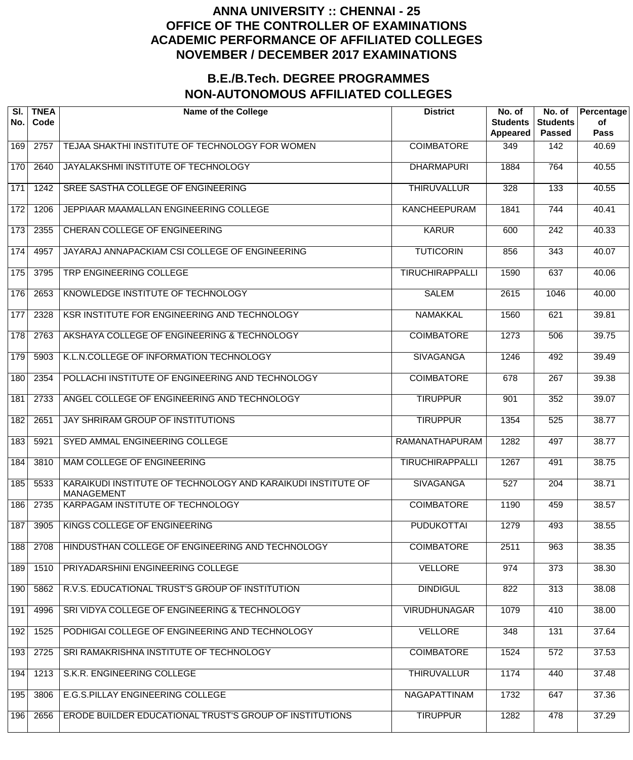| SI.<br>No.        | <b>TNEA</b><br>Code | <b>Name of the College</b>                                                        | <b>District</b>        | No. of<br><b>Students</b><br>Appeared | No. of<br><b>Students</b><br><b>Passed</b> | Percentage<br>of<br>Pass |
|-------------------|---------------------|-----------------------------------------------------------------------------------|------------------------|---------------------------------------|--------------------------------------------|--------------------------|
| 169               | 2757                | TEJAA SHAKTHI INSTITUTE OF TECHNOLOGY FOR WOMEN                                   | <b>COIMBATORE</b>      | 349                                   | 142                                        | 40.69                    |
| 170               | 2640                | JAYALAKSHMI INSTITUTE OF TECHNOLOGY                                               | <b>DHARMAPURI</b>      | 1884                                  | 764                                        | 40.55                    |
| 171               | 1242                | SREE SASTHA COLLEGE OF ENGINEERING                                                | <b>THIRUVALLUR</b>     | 328                                   | 133                                        | 40.55                    |
| 172               | 1206                | JEPPIAAR MAAMALLAN ENGINEERING COLLEGE                                            | <b>KANCHEEPURAM</b>    | 1841                                  | 744                                        | 40.41                    |
| 173               | 2355                | CHERAN COLLEGE OF ENGINEERING                                                     | <b>KARUR</b>           | 600                                   | $\overline{242}$                           | 40.33                    |
| 174               | 4957                | JAYARAJ ANNAPACKIAM CSI COLLEGE OF ENGINEERING                                    | <b>TUTICORIN</b>       | 856                                   | 343                                        | 40.07                    |
| $\frac{175}{175}$ | 3795                | TRP ENGINEERING COLLEGE                                                           | <b>TIRUCHIRAPPALLI</b> | 1590                                  | 637                                        | 40.06                    |
| 176               | 2653                | KNOWLEDGE INSTITUTE OF TECHNOLOGY                                                 | <b>SALEM</b>           | 2615                                  | 1046                                       | 40.00                    |
| 177               | 2328                | KSR INSTITUTE FOR ENGINEERING AND TECHNOLOGY                                      | <b>NAMAKKAL</b>        | 1560                                  | 621                                        | 39.81                    |
| 178               | 2763                | AKSHAYA COLLEGE OF ENGINEERING & TECHNOLOGY                                       | <b>COIMBATORE</b>      | 1273                                  | 506                                        | 39.75                    |
| 179               | 5903                | K.L.N.COLLEGE OF INFORMATION TECHNOLOGY                                           | <b>SIVAGANGA</b>       | 1246                                  | 492                                        | 39.49                    |
| 180               | 2354                | POLLACHI INSTITUTE OF ENGINEERING AND TECHNOLOGY                                  | <b>COIMBATORE</b>      | 678                                   | 267                                        | 39.38                    |
| 181               | 2733                | ANGEL COLLEGE OF ENGINEERING AND TECHNOLOGY                                       | <b>TIRUPPUR</b>        | 901                                   | $\overline{352}$                           | 39.07                    |
| 182               | 2651                | JAY SHRIRAM GROUP OF INSTITUTIONS                                                 | <b>TIRUPPUR</b>        | 1354                                  | 525                                        | 38.77                    |
| 183               | 5921                | SYED AMMAL ENGINEERING COLLEGE                                                    | RAMANATHAPURAM         | $\overline{1282}$                     | 497                                        | 38.77                    |
| 184               | 3810                | MAM COLLEGE OF ENGINEERING                                                        | <b>TIRUCHIRAPPALLI</b> | 1267                                  | 491                                        | 38.75                    |
| 185               | 5533                | KARAIKUDI INSTITUTE OF TECHNOLOGY AND KARAIKUDI INSTITUTE OF<br><b>MANAGEMENT</b> | <b>SIVAGANGA</b>       | 527                                   | $\overline{204}$                           | 38.71                    |
| 186               | 2735                | <b>KARPAGAM INSTITUTE OF TECHNOLOGY</b>                                           | <b>COIMBATORE</b>      | 1190                                  | 459                                        | 38.57                    |
| 187               | 3905                | KINGS COLLEGE OF ENGINEERING                                                      | <b>PUDUKOTTAI</b>      | 1279                                  | 493                                        | 38.55                    |
| 188               | 2708                | HINDUSTHAN COLLEGE OF ENGINEERING AND TECHNOLOGY                                  | <b>COIMBATORE</b>      | 2511                                  | 963                                        | 38.35                    |
| 189               | 1510                | PRIYADARSHINI ENGINEERING COLLEGE                                                 | <b>VELLORE</b>         | 974                                   | 373                                        | 38.30                    |
| 190               | 5862                | R.V.S. EDUCATIONAL TRUST'S GROUP OF INSTITUTION                                   | <b>DINDIGUL</b>        | 822                                   | 313                                        | 38.08                    |
| 191               | 4996                | SRI VIDYA COLLEGE OF ENGINEERING & TECHNOLOGY                                     | <b>VIRUDHUNAGAR</b>    | 1079                                  | 410                                        | 38.00                    |
| 192               | 1525                | PODHIGAI COLLEGE OF ENGINEERING AND TECHNOLOGY                                    | <b>VELLORE</b>         | 348                                   | 131                                        | 37.64                    |
| 193               | 2725                | SRI RAMAKRISHNA INSTITUTE OF TECHNOLOGY                                           | <b>COIMBATORE</b>      | 1524                                  | 572                                        | 37.53                    |
| 194               | 1213                | S.K.R. ENGINEERING COLLEGE                                                        | <b>THIRUVALLUR</b>     | 1174                                  | 440                                        | 37.48                    |
| 195               | 3806                | E.G.S.PILLAY ENGINEERING COLLEGE                                                  | NAGAPATTINAM           | 1732                                  | 647                                        | 37.36                    |
| 196               | 2656                | ERODE BUILDER EDUCATIONAL TRUST'S GROUP OF INSTITUTIONS                           | <b>TIRUPPUR</b>        | 1282                                  | 478                                        | 37.29                    |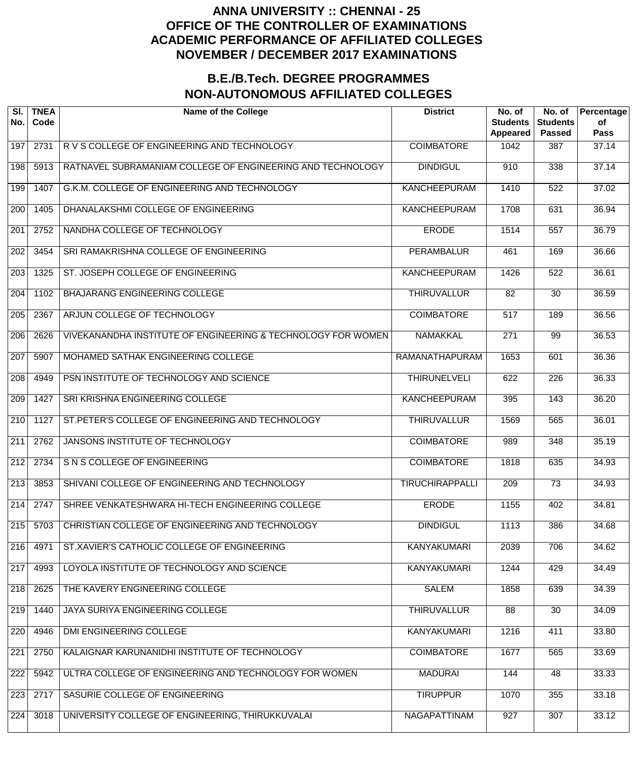| SI.<br>No.       | <b>TNEA</b><br>Code | <b>Name of the College</b>                                   | <b>District</b>        | No. of<br><b>Students</b><br><b>Appeared</b> | No. of<br><b>Students</b><br><b>Passed</b> | Percentage<br>of<br><b>Pass</b> |
|------------------|---------------------|--------------------------------------------------------------|------------------------|----------------------------------------------|--------------------------------------------|---------------------------------|
| 197              | 2731                | R V S COLLEGE OF ENGINEERING AND TECHNOLOGY                  | <b>COIMBATORE</b>      | 1042                                         | 387                                        | 37.14                           |
| 198              | 5913                | RATNAVEL SUBRAMANIAM COLLEGE OF ENGINEERING AND TECHNOLOGY   | <b>DINDIGUL</b>        | 910                                          | 338                                        | 37.14                           |
| 199              | 1407                | G.K.M. COLLEGE OF ENGINEERING AND TECHNOLOGY                 | <b>KANCHEEPURAM</b>    | 1410                                         | $\overline{522}$                           | 37.02                           |
| $\overline{200}$ | 1405                | DHANALAKSHMI COLLEGE OF ENGINEERING                          | <b>KANCHEEPURAM</b>    | 1708                                         | 631                                        | 36.94                           |
| 201              | 2752                | NANDHA COLLEGE OF TECHNOLOGY                                 | <b>ERODE</b>           | 1514                                         | $\overline{557}$                           | 36.79                           |
| $\overline{202}$ | 3454                | SRI RAMAKRISHNA COLLEGE OF ENGINEERING                       | <b>PERAMBALUR</b>      | 461                                          | 169                                        | 36.66                           |
| 203              | 1325                | ST. JOSEPH COLLEGE OF ENGINEERING                            | <b>KANCHEEPURAM</b>    | 1426                                         | $\overline{522}$                           | 36.61                           |
| $\overline{204}$ | 1102                | <b>BHAJARANG ENGINEERING COLLEGE</b>                         | <b>THIRUVALLUR</b>     | $\overline{82}$                              | $\overline{30}$                            | 36.59                           |
| 205              | 2367                | ARJUN COLLEGE OF TECHNOLOGY                                  | <b>COIMBATORE</b>      | $\overline{517}$                             | 189                                        | 36.56                           |
| $\overline{206}$ | 2626                | VIVEKANANDHA INSTITUTE OF ENGINEERING & TECHNOLOGY FOR WOMEN | <b>NAMAKKAL</b>        | $\overline{271}$                             | $\overline{99}$                            | 36.53                           |
| 207              | 5907                | MOHAMED SATHAK ENGINEERING COLLEGE                           | <b>RAMANATHAPURAM</b>  | 1653                                         | 601                                        | 36.36                           |
| $\overline{208}$ | 4949                | PSN INSTITUTE OF TECHNOLOGY AND SCIENCE                      | <b>THIRUNELVELI</b>    | 622                                          | $\overline{226}$                           | 36.33                           |
| 209              | 1427                | SRI KRISHNA ENGINEERING COLLEGE                              | <b>KANCHEEPURAM</b>    | 395                                          | $\overline{143}$                           | 36.20                           |
| $\overline{210}$ | 1127                | ST. PETER'S COLLEGE OF ENGINEERING AND TECHNOLOGY            | <b>THIRUVALLUR</b>     | 1569                                         | 565                                        | 36.01                           |
| 211              | 2762                | JANSONS INSTITUTE OF TECHNOLOGY                              | <b>COIMBATORE</b>      | 989                                          | 348                                        | 35.19                           |
| 212              | 2734                | S N S COLLEGE OF ENGINEERING                                 | <b>COIMBATORE</b>      | 1818                                         | 635                                        | 34.93                           |
| $\overline{213}$ | 3853                | SHIVANI COLLEGE OF ENGINEERING AND TECHNOLOGY                | <b>TIRUCHIRAPPALLI</b> | $\overline{209}$                             | $\overline{73}$                            | 34.93                           |
| $\overline{214}$ | 2747                | SHREE VENKATESHWARA HI-TECH ENGINEERING COLLEGE              | <b>ERODE</b>           | 1155                                         | 402                                        | 34.81                           |
| 215              | 5703                | CHRISTIAN COLLEGE OF ENGINEERING AND TECHNOLOGY              | <b>DINDIGUL</b>        | 1113                                         | 386                                        | 34.68                           |
| 216              | 4971                | ST.XAVIER'S CATHOLIC COLLEGE OF ENGINEERING                  | <b>KANYAKUMARI</b>     | 2039                                         | 706                                        | 34.62                           |
| 217              | 4993                | LOYOLA INSTITUTE OF TECHNOLOGY AND SCIENCE                   | <b>KANYAKUMARI</b>     | 1244                                         | 429                                        | 34.49                           |
| 218              | 2625                | THE KAVERY ENGINEERING COLLEGE                               | <b>SALEM</b>           | 1858                                         | 639                                        | 34.39                           |
| 219              | 1440                | <b>JAYA SURIYA ENGINEERING COLLEGE</b>                       | <b>THIRUVALLUR</b>     | 88                                           | $\overline{30}$                            | 34.09                           |
| 220              | 4946                | DMI ENGINEERING COLLEGE                                      | <b>KANYAKUMARI</b>     | 1216                                         | 411                                        | 33.80                           |
| 221              | 2750                | KALAIGNAR KARUNANIDHI INSTITUTE OF TECHNOLOGY                | <b>COIMBATORE</b>      | 1677                                         | 565                                        | 33.69                           |
| 222              | 5942                | ULTRA COLLEGE OF ENGINEERING AND TECHNOLOGY FOR WOMEN        | <b>MADURAI</b>         | 144                                          | 48                                         | 33.33                           |
| 223              | 2717                | SASURIE COLLEGE OF ENGINEERING                               | <b>TIRUPPUR</b>        | 1070                                         | 355                                        | 33.18                           |
| 224              | 3018                | UNIVERSITY COLLEGE OF ENGINEERING, THIRUKKUVALAI             | NAGAPATTINAM           | 927                                          | 307                                        | 33.12                           |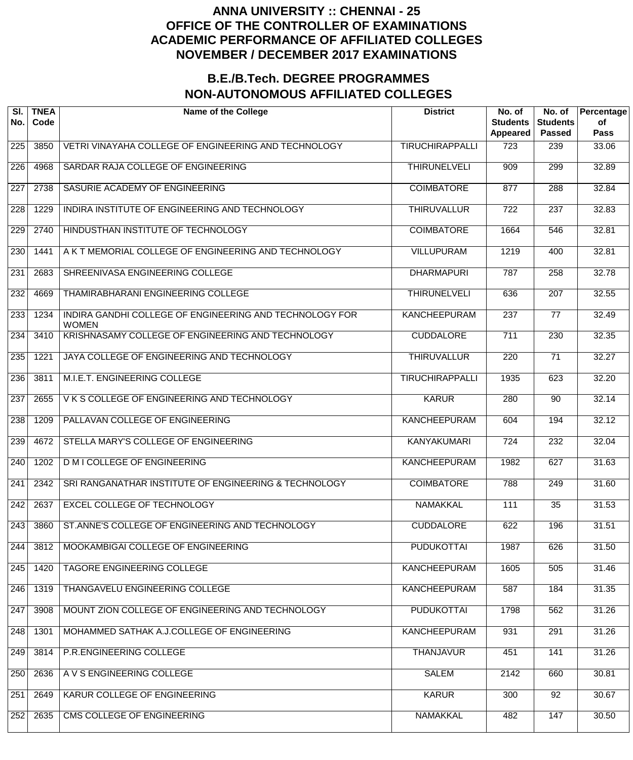| SI.<br>No.       | <b>TNEA</b><br>Code | <b>Name of the College</b>                                              | <b>District</b>        | No. of<br><b>Students</b><br>Appeared | No. of<br><b>Students</b><br><b>Passed</b> | Percentage<br>of<br><b>Pass</b> |
|------------------|---------------------|-------------------------------------------------------------------------|------------------------|---------------------------------------|--------------------------------------------|---------------------------------|
| 225              | 3850                | VETRI VINAYAHA COLLEGE OF ENGINEERING AND TECHNOLOGY                    | <b>TIRUCHIRAPPALLI</b> | 723                                   | 239                                        | 33.06                           |
| $\overline{226}$ | 4968                | SARDAR RAJA COLLEGE OF ENGINEERING                                      | <b>THIRUNELVELI</b>    | 909                                   | 299                                        | 32.89                           |
| $\overline{227}$ | 2738                | SASURIE ACADEMY OF ENGINEERING                                          | <b>COIMBATORE</b>      | 877                                   | 288                                        | 32.84                           |
| 228              | 1229                | INDIRA INSTITUTE OF ENGINEERING AND TECHNOLOGY                          | <b>THIRUVALLUR</b>     | $\overline{722}$                      | $\overline{237}$                           | 32.83                           |
| 229              | 2740                | HINDUSTHAN INSTITUTE OF TECHNOLOGY                                      | <b>COIMBATORE</b>      | 1664                                  | 546                                        | 32.81                           |
| 230              | 1441                | A K T MEMORIAL COLLEGE OF ENGINEERING AND TECHNOLOGY                    | <b>VILLUPURAM</b>      | 1219                                  | 400                                        | 32.81                           |
| 231              | 2683                | SHREENIVASA ENGINEERING COLLEGE                                         | <b>DHARMAPURI</b>      | 787                                   | $\overline{258}$                           | 32.78                           |
| 232              | 4669                | <b>THAMIRABHARANI ENGINEERING COLLEGE</b>                               | <b>THIRUNELVELI</b>    | 636                                   | $\overline{207}$                           | 32.55                           |
| 233              | 1234                | INDIRA GANDHI COLLEGE OF ENGINEERING AND TECHNOLOGY FOR<br><b>WOMEN</b> | <b>KANCHEEPURAM</b>    | $\overline{237}$                      | 77                                         | 32.49                           |
| 234              | 3410                | KRISHNASAMY COLLEGE OF ENGINEERING AND TECHNOLOGY                       | <b>CUDDALORE</b>       | 711                                   | $\overline{230}$                           | 32.35                           |
| 235              | 1221                | JAYA COLLEGE OF ENGINEERING AND TECHNOLOGY                              | <b>THIRUVALLUR</b>     | 220                                   | $\overline{71}$                            | 32.27                           |
| 236              | 3811                | M.I.E.T. ENGINEERING COLLEGE                                            | <b>TIRUCHIRAPPALLI</b> | 1935                                  | 623                                        | 32.20                           |
| 237              | 2655                | VKS COLLEGE OF ENGINEERING AND TECHNOLOGY                               | <b>KARUR</b>           | 280                                   | 90                                         | 32.14                           |
| 238              | 1209                | PALLAVAN COLLEGE OF ENGINEERING                                         | <b>KANCHEEPURAM</b>    | 604                                   | 194                                        | 32.12                           |
| 239              | 4672                | STELLA MARY'S COLLEGE OF ENGINEERING                                    | <b>KANYAKUMARI</b>     | $\overline{724}$                      | 232                                        | 32.04                           |
| 240              | 1202                | <b>D M I COLLEGE OF ENGINEERING</b>                                     | <b>KANCHEEPURAM</b>    | 1982                                  | 627                                        | 31.63                           |
| 241              | 2342                | SRI RANGANATHAR INSTITUTE OF ENGINEERING & TECHNOLOGY                   | <b>COIMBATORE</b>      | 788                                   | $\overline{249}$                           | 31.60                           |
| 242              | 2637                | <b>EXCEL COLLEGE OF TECHNOLOGY</b>                                      | <b>NAMAKKAL</b>        | 111                                   | $\overline{35}$                            | 31.53                           |
| 243              | 3860                | ST.ANNE'S COLLEGE OF ENGINEERING AND TECHNOLOGY                         | <b>CUDDALORE</b>       | 622                                   | 196                                        | 31.51                           |
| 244              | 3812                | MOOKAMBIGAI COLLEGE OF ENGINEERING                                      | <b>PUDUKOTTAI</b>      | 1987                                  | 626                                        | 31.50                           |
| 245              | 1420                | TAGORE ENGINEERING COLLEGE                                              | <b>KANCHEEPURAM</b>    | 1605                                  | 505                                        | 31.46                           |
| 246              | 1319                | THANGAVELU ENGINEERING COLLEGE                                          | <b>KANCHEEPURAM</b>    | 587                                   | 184                                        | 31.35                           |
| 247              | 3908                | MOUNT ZION COLLEGE OF ENGINEERING AND TECHNOLOGY                        | <b>PUDUKOTTAI</b>      | 1798                                  | 562                                        | 31.26                           |
| 248              | 1301                | MOHAMMED SATHAK A.J.COLLEGE OF ENGINEERING                              | <b>KANCHEEPURAM</b>    | 931                                   | 291                                        | 31.26                           |
| 249              | 3814                | P.R.ENGINEERING COLLEGE                                                 | <b>THANJAVUR</b>       | 451                                   | 141                                        | 31.26                           |
| 250              | 2636                | A V S ENGINEERING COLLEGE                                               | <b>SALEM</b>           | 2142                                  | 660                                        | 30.81                           |
| 251              | 2649                | KARUR COLLEGE OF ENGINEERING                                            | <b>KARUR</b>           | 300                                   | $\overline{92}$                            | 30.67                           |
| 252              | 2635                | CMS COLLEGE OF ENGINEERING                                              | <b>NAMAKKAL</b>        | 482                                   | 147                                        | 30.50                           |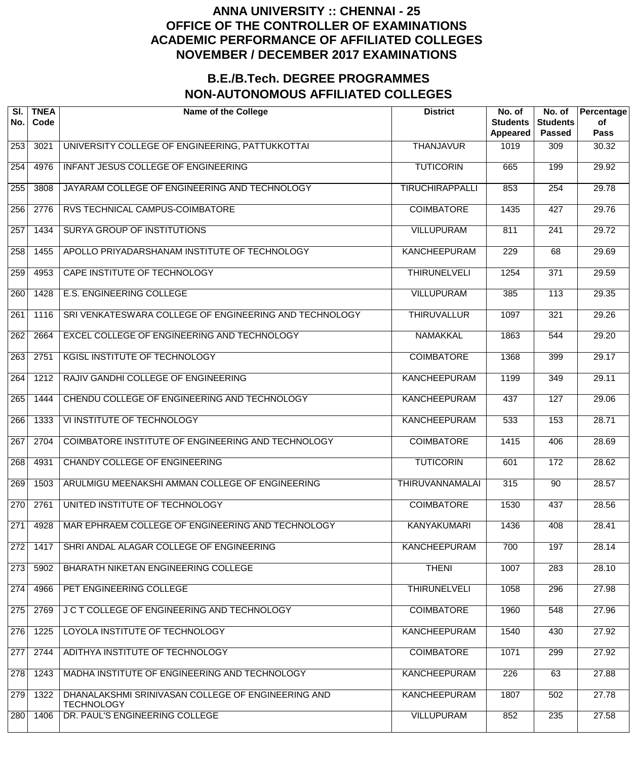| SI.<br>No.       | <b>TNEA</b><br>Code | <b>Name of the College</b>                                              | <b>District</b>        | No. of<br><b>Students</b><br>Appeared | No. of<br><b>Students</b><br><b>Passed</b> | Percentage<br>of<br><b>Pass</b> |
|------------------|---------------------|-------------------------------------------------------------------------|------------------------|---------------------------------------|--------------------------------------------|---------------------------------|
| 253              | 3021                | UNIVERSITY COLLEGE OF ENGINEERING, PATTUKKOTTAI                         | <b>THANJAVUR</b>       | 1019                                  | 309                                        | 30.32                           |
| 254              | 4976                | INFANT JESUS COLLEGE OF ENGINEERING                                     | <b>TUTICORIN</b>       | 665                                   | 199                                        | 29.92                           |
| 255              | 3808                | JAYARAM COLLEGE OF ENGINEERING AND TECHNOLOGY                           | <b>TIRUCHIRAPPALLI</b> | 853                                   | 254                                        | 29.78                           |
| 256              | 2776                | RVS TECHNICAL CAMPUS-COIMBATORE                                         | <b>COIMBATORE</b>      | 1435                                  | 427                                        | 29.76                           |
| 257              | 1434                | <b>SURYA GROUP OF INSTITUTIONS</b>                                      | <b>VILLUPURAM</b>      | 811                                   | $\overline{241}$                           | 29.72                           |
| 258              | 1455                | APOLLO PRIYADARSHANAM INSTITUTE OF TECHNOLOGY                           | <b>KANCHEEPURAM</b>    | 229                                   | 68                                         | 29.69                           |
| 259              | 4953                | CAPE INSTITUTE OF TECHNOLOGY                                            | <b>THIRUNELVELI</b>    | 1254                                  | $\overline{371}$                           | 29.59                           |
| 260              | 1428                | <b>E.S. ENGINEERING COLLEGE</b>                                         | <b>VILLUPURAM</b>      | $\frac{1}{385}$                       | $\overline{113}$                           | 29.35                           |
| 261              | 1116                | SRI VENKATESWARA COLLEGE OF ENGINEERING AND TECHNOLOGY                  | <b>THIRUVALLUR</b>     | 1097                                  | 321                                        | 29.26                           |
| 262              | 2664                | EXCEL COLLEGE OF ENGINEERING AND TECHNOLOGY                             | <b>NAMAKKAL</b>        | 1863                                  | 544                                        | 29.20                           |
| $\overline{263}$ | 2751                | KGISL INSTITUTE OF TECHNOLOGY                                           | <b>COIMBATORE</b>      | 1368                                  | 399                                        | 29.17                           |
| 264              | 1212                | RAJIV GANDHI COLLEGE OF ENGINEERING                                     | <b>KANCHEEPURAM</b>    | 1199                                  | 349                                        | 29.11                           |
| 265              | 1444                | CHENDU COLLEGE OF ENGINEERING AND TECHNOLOGY                            | <b>KANCHEEPURAM</b>    | 437                                   | 127                                        | 29.06                           |
| 266              | 1333                | VI INSTITUTE OF TECHNOLOGY                                              | <b>KANCHEEPURAM</b>    | 533                                   | 153                                        | 28.71                           |
| 267              | 2704                | COIMBATORE INSTITUTE OF ENGINEERING AND TECHNOLOGY                      | <b>COIMBATORE</b>      | 1415                                  | 406                                        | 28.69                           |
| 268              | 4931                | <b>CHANDY COLLEGE OF ENGINEERING</b>                                    | <b>TUTICORIN</b>       | 601                                   | 172                                        | 28.62                           |
| 269              | 1503                | ARULMIGU MEENAKSHI AMMAN COLLEGE OF ENGINEERING                         | <b>THIRUVANNAMALAI</b> | 315                                   | $\overline{90}$                            | 28.57                           |
| 270              | 2761                | UNITED INSTITUTE OF TECHNOLOGY                                          | <b>COIMBATORE</b>      | 1530                                  | 437                                        | 28.56                           |
| 271              | 4928                | MAR EPHRAEM COLLEGE OF ENGINEERING AND TECHNOLOGY                       | <b>KANYAKUMARI</b>     | 1436                                  | 408                                        | 28.41                           |
| 272              | 1417                | SHRI ANDAL ALAGAR COLLEGE OF ENGINEERING                                | <b>KANCHEEPURAM</b>    | 700                                   | 197                                        | 28.14                           |
| 273              | 5902                | BHARATH NIKETAN ENGINEERING COLLEGE                                     | <b>THENI</b>           | 1007                                  | 283                                        | 28.10                           |
| 274              | 4966                | PET ENGINEERING COLLEGE                                                 | <b>THIRUNELVELI</b>    | 1058                                  | 296                                        | 27.98                           |
| 275              | 2769                | J C T COLLEGE OF ENGINEERING AND TECHNOLOGY                             | <b>COIMBATORE</b>      | 1960                                  | 548                                        | 27.96                           |
| 276              | 1225                | LOYOLA INSTITUTE OF TECHNOLOGY                                          | <b>KANCHEEPURAM</b>    | 1540                                  | 430                                        | 27.92                           |
| 277              | 2744                | ADITHYA INSTITUTE OF TECHNOLOGY                                         | <b>COIMBATORE</b>      | 1071                                  | 299                                        | 27.92                           |
| 278              | 1243                | MADHA INSTITUTE OF ENGINEERING AND TECHNOLOGY                           | <b>KANCHEEPURAM</b>    | 226                                   | 63                                         | 27.88                           |
| 279              | 1322                | DHANALAKSHMI SRINIVASAN COLLEGE OF ENGINEERING AND<br><b>TECHNOLOGY</b> | <b>KANCHEEPURAM</b>    | 1807                                  | 502                                        | 27.78                           |
| 280              | 1406                | DR. PAUL'S ENGINEERING COLLEGE                                          | <b>VILLUPURAM</b>      | 852                                   | 235                                        | 27.58                           |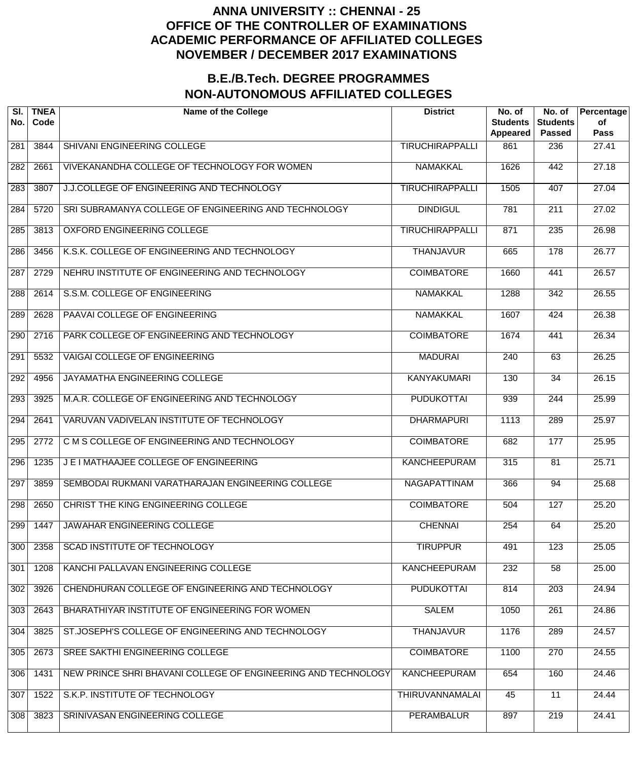| SI.<br>No.       | <b>TNEA</b><br>Code | <b>Name of the College</b>                                    | <b>District</b>        | No. of<br><b>Students</b><br>Appeared | No. of<br><b>Students</b><br><b>Passed</b> | Percentage<br>of<br><b>Pass</b> |
|------------------|---------------------|---------------------------------------------------------------|------------------------|---------------------------------------|--------------------------------------------|---------------------------------|
| 281              | 3844                | SHIVANI ENGINEERING COLLEGE                                   | <b>TIRUCHIRAPPALLI</b> | 861                                   | 236                                        | 27.41                           |
| 282              | 2661                | VIVEKANANDHA COLLEGE OF TECHNOLOGY FOR WOMEN                  | <b>NAMAKKAL</b>        | 1626                                  | 442                                        | 27.18                           |
| 283              | 3807                | J.J.COLLEGE OF ENGINEERING AND TECHNOLOGY                     | <b>TIRUCHIRAPPALLI</b> | 1505                                  | 407                                        | 27.04                           |
| 284              | 5720                | SRI SUBRAMANYA COLLEGE OF ENGINEERING AND TECHNOLOGY          | <b>DINDIGUL</b>        | 781                                   | $\overline{211}$                           | 27.02                           |
| 285              | 3813                | OXFORD ENGINEERING COLLEGE                                    | <b>TIRUCHIRAPPALLI</b> | 871                                   | 235                                        | 26.98                           |
| 286              | 3456                | K.S.K. COLLEGE OF ENGINEERING AND TECHNOLOGY                  | <b>THANJAVUR</b>       | 665                                   | $\overline{178}$                           | 26.77                           |
| 287              | 2729                | NEHRU INSTITUTE OF ENGINEERING AND TECHNOLOGY                 | <b>COIMBATORE</b>      | 1660                                  | 441                                        | 26.57                           |
| 288              | 2614                | S.S.M. COLLEGE OF ENGINEERING                                 | <b>NAMAKKAL</b>        | 1288                                  | 342                                        | 26.55                           |
| 289              | 2628                | PAAVAI COLLEGE OF ENGINEERING                                 | <b>NAMAKKAL</b>        | 1607                                  | 424                                        | 26.38                           |
| 290              | 2716                | PARK COLLEGE OF ENGINEERING AND TECHNOLOGY                    | <b>COIMBATORE</b>      | 1674                                  | 441                                        | 26.34                           |
| 291              | 5532                | <b>VAIGAI COLLEGE OF ENGINEERING</b>                          | <b>MADURAI</b>         | 240                                   | 63                                         | 26.25                           |
| 292              | 4956                | JAYAMATHA ENGINEERING COLLEGE                                 | <b>KANYAKUMARI</b>     | 130                                   | $\overline{34}$                            | 26.15                           |
| 293              | 3925                | M.A.R. COLLEGE OF ENGINEERING AND TECHNOLOGY                  | <b>PUDUKOTTAI</b>      | 939                                   | 244                                        | 25.99                           |
| $\overline{294}$ | 2641                | VARUVAN VADIVELAN INSTITUTE OF TECHNOLOGY                     | <b>DHARMAPURI</b>      | 1113                                  | 289                                        | 25.97                           |
| 295              | 2772                | C M S COLLEGE OF ENGINEERING AND TECHNOLOGY                   | <b>COIMBATORE</b>      | 682                                   | 177                                        | 25.95                           |
| 296              | 1235                | J E I MATHAAJEE COLLEGE OF ENGINEERING                        | <b>KANCHEEPURAM</b>    | 315                                   | 81                                         | 25.71                           |
| 297              | 3859                | SEMBODAI RUKMANI VARATHARAJAN ENGINEERING COLLEGE             | <b>NAGAPATTINAM</b>    | 366                                   | 94                                         | 25.68                           |
| 298              | 2650                | CHRIST THE KING ENGINEERING COLLEGE                           | <b>COIMBATORE</b>      | 504                                   | 127                                        | 25.20                           |
| 299              | 1447                | JAWAHAR ENGINEERING COLLEGE                                   | <b>CHENNAI</b>         | 254                                   | 64                                         | 25.20                           |
| 300              | 2358                | <b>SCAD INSTITUTE OF TECHNOLOGY</b>                           | <b>TIRUPPUR</b>        | 491                                   | $\overline{123}$                           | 25.05                           |
| 301              | 1208                | KANCHI PALLAVAN ENGINEERING COLLEGE                           | <b>KANCHEEPURAM</b>    | 232                                   | 58                                         | 25.00                           |
| 302              | 3926                | CHENDHURAN COLLEGE OF ENGINEERING AND TECHNOLOGY              | <b>PUDUKOTTAI</b>      | 814                                   | $\overline{203}$                           | 24.94                           |
| 303              | 2643                | BHARATHIYAR INSTITUTE OF ENGINEERING FOR WOMEN                | <b>SALEM</b>           | 1050                                  | 261                                        | 24.86                           |
| 304              | 3825                | ST.JOSEPH'S COLLEGE OF ENGINEERING AND TECHNOLOGY             | <b>THANJAVUR</b>       | 1176                                  | 289                                        | 24.57                           |
| 305              | 2673                | SREE SAKTHI ENGINEERING COLLEGE                               | <b>COIMBATORE</b>      | 1100                                  | 270                                        | 24.55                           |
| 306              | 1431                | NEW PRINCE SHRI BHAVANI COLLEGE OF ENGINEERING AND TECHNOLOGY | <b>KANCHEEPURAM</b>    | 654                                   | 160                                        | 24.46                           |
| 307              | 1522                | S.K.P. INSTITUTE OF TECHNOLOGY                                | THIRUVANNAMALAI        | 45                                    | $\overline{11}$                            | 24.44                           |
| 308              | 3823                | SRINIVASAN ENGINEERING COLLEGE                                | <b>PERAMBALUR</b>      | 897                                   | 219                                        | 24.41                           |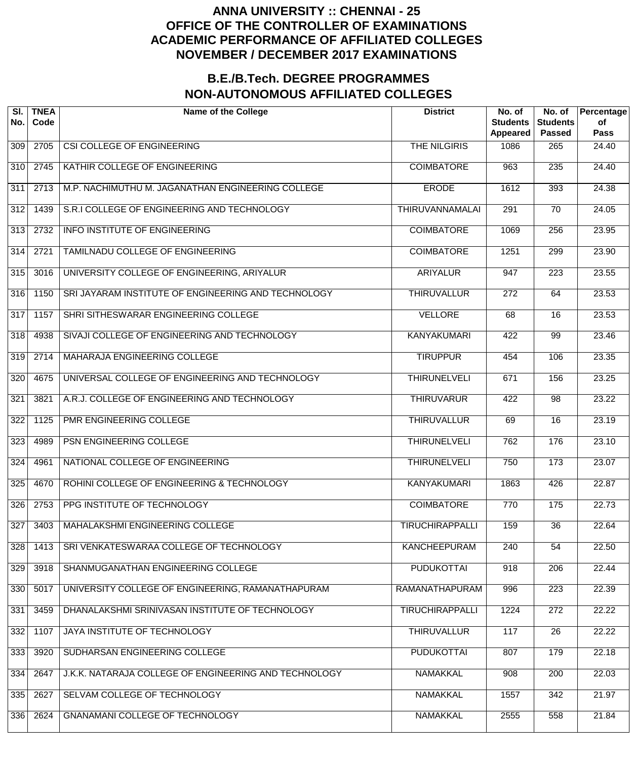| SI.<br>No.       | <b>TNEA</b><br>Code | <b>Name of the College</b>                            | <b>District</b>        | No. of<br><b>Students</b><br>Appeared | No. of<br><b>Students</b><br><b>Passed</b> | Percentage<br>of<br><b>Pass</b> |
|------------------|---------------------|-------------------------------------------------------|------------------------|---------------------------------------|--------------------------------------------|---------------------------------|
| 309              | 2705                | CSI COLLEGE OF ENGINEERING                            | <b>THE NILGIRIS</b>    | 1086                                  | 265                                        | 24.40                           |
| $\overline{310}$ | 2745                | KATHIR COLLEGE OF ENGINEERING                         | <b>COIMBATORE</b>      | 963                                   | $\overline{235}$                           | 24.40                           |
| $\overline{311}$ | 2713                | M.P. NACHIMUTHU M. JAGANATHAN ENGINEERING COLLEGE     | <b>ERODE</b>           | 1612                                  | 393                                        | 24.38                           |
| $\overline{312}$ | 1439                | S.R.I COLLEGE OF ENGINEERING AND TECHNOLOGY           | <b>THIRUVANNAMALAI</b> | 291                                   | $\overline{70}$                            | 24.05                           |
| $\overline{313}$ | 2732                | <b>INFO INSTITUTE OF ENGINEERING</b>                  | <b>COIMBATORE</b>      | 1069                                  | $\overline{256}$                           | 23.95                           |
| 314              | 2721                | TAMILNADU COLLEGE OF ENGINEERING                      | <b>COIMBATORE</b>      | 1251                                  | 299                                        | 23.90                           |
| 315              | 3016                | UNIVERSITY COLLEGE OF ENGINEERING, ARIYALUR           | <b>ARIYALUR</b>        | 947                                   | 223                                        | 23.55                           |
| 316              | 1150                | SRI JAYARAM INSTITUTE OF ENGINEERING AND TECHNOLOGY   | <b>THIRUVALLUR</b>     | $\overline{272}$                      | 64                                         | 23.53                           |
| $\overline{317}$ | 1157                | SHRI SITHESWARAR ENGINEERING COLLEGE                  | <b>VELLORE</b>         | 68                                    | $\overline{16}$                            | 23.53                           |
| 318              | 4938                | SIVAJI COLLEGE OF ENGINEERING AND TECHNOLOGY          | <b>KANYAKUMARI</b>     | 422                                   | $\overline{99}$                            | 23.46                           |
| 319              | 2714                | MAHARAJA ENGINEERING COLLEGE                          | <b>TIRUPPUR</b>        | 454                                   | 106                                        | 23.35                           |
| 320              | 4675                | UNIVERSAL COLLEGE OF ENGINEERING AND TECHNOLOGY       | <b>THIRUNELVELI</b>    | 671                                   | 156                                        | 23.25                           |
| 321              | 3821                | A.R.J. COLLEGE OF ENGINEERING AND TECHNOLOGY          | <b>THIRUVARUR</b>      | 422                                   | $\overline{98}$                            | 23.22                           |
| $\overline{322}$ | 1125                | PMR ENGINEERING COLLEGE                               | <b>THIRUVALLUR</b>     | 69                                    | $\overline{16}$                            | 23.19                           |
| 323              | 4989                | PSN ENGINEERING COLLEGE                               | <b>THIRUNELVELI</b>    | 762                                   | 176                                        | 23.10                           |
| 324              | 4961                | NATIONAL COLLEGE OF ENGINEERING                       | <b>THIRUNELVELI</b>    | 750                                   | 173                                        | 23.07                           |
| 325              | 4670                | ROHINI COLLEGE OF ENGINEERING & TECHNOLOGY            | <b>KANYAKUMARI</b>     | 1863                                  | 426                                        | 22.87                           |
| 326              | 2753                | PPG INSTITUTE OF TECHNOLOGY                           | <b>COIMBATORE</b>      | 770                                   | 175                                        | 22.73                           |
| 327              | 3403                | <b>MAHALAKSHMI ENGINEERING COLLEGE</b>                | <b>TIRUCHIRAPPALLI</b> | 159                                   | $\overline{36}$                            | 22.64                           |
| 328              | 1413                | SRI VENKATESWARAA COLLEGE OF TECHNOLOGY               | <b>KANCHEEPURAM</b>    | 240                                   | $\overline{54}$                            | 22.50                           |
| 329              | 3918                | SHANMUGANATHAN ENGINEERING COLLEGE                    | <b>PUDUKOTTAI</b>      | 918                                   | $\overline{206}$                           | 22.44                           |
| 330              | 5017                | UNIVERSITY COLLEGE OF ENGINEERING, RAMANATHAPURAM     | RAMANATHAPURAM         | 996                                   | 223                                        | 22.39                           |
| 331              | 3459                | DHANALAKSHMI SRINIVASAN INSTITUTE OF TECHNOLOGY       | <b>TIRUCHIRAPPALLI</b> | 1224                                  | $\overline{272}$                           | 22.22                           |
| 332              | 1107                | JAYA INSTITUTE OF TECHNOLOGY                          | <b>THIRUVALLUR</b>     | 117                                   | $\overline{26}$                            | 22.22                           |
| 333              | 3920                | SUDHARSAN ENGINEERING COLLEGE                         | <b>PUDUKOTTAI</b>      | 807                                   | 179                                        | 22.18                           |
| 334              | 2647                | J.K.K. NATARAJA COLLEGE OF ENGINEERING AND TECHNOLOGY | <b>NAMAKKAL</b>        | 908                                   | 200                                        | 22.03                           |
| 335              | 2627                | SELVAM COLLEGE OF TECHNOLOGY                          | <b>NAMAKKAL</b>        | 1557                                  | 342                                        | 21.97                           |
| 336              | 2624                | GNANAMANI COLLEGE OF TECHNOLOGY                       | <b>NAMAKKAL</b>        | 2555                                  | 558                                        | 21.84                           |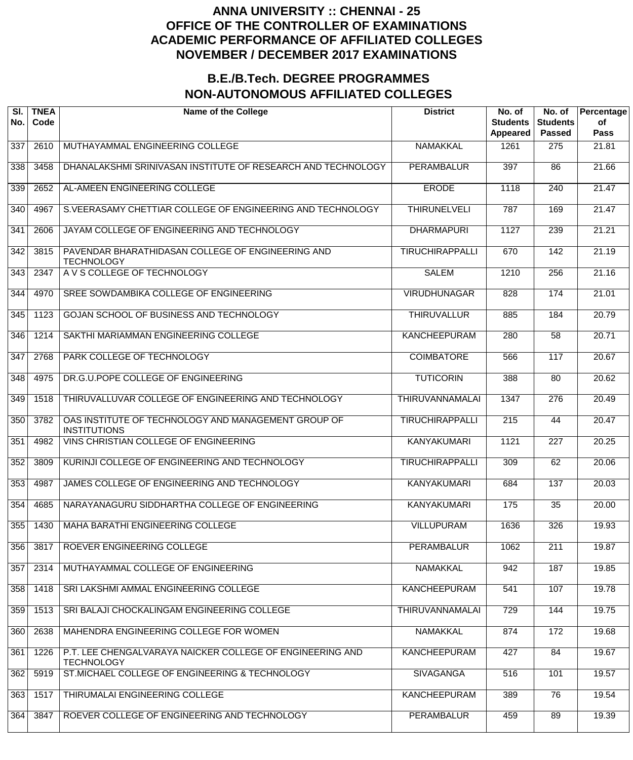| SI.<br>No.       | <b>TNEA</b><br>Code | <b>Name of the College</b>                                                     | <b>District</b>        | No. of<br><b>Students</b><br>Appeared | No. of<br><b>Students</b><br><b>Passed</b> | Percentage<br>of<br><b>Pass</b> |
|------------------|---------------------|--------------------------------------------------------------------------------|------------------------|---------------------------------------|--------------------------------------------|---------------------------------|
| 337              | 2610                | MUTHAYAMMAL ENGINEERING COLLEGE                                                | <b>NAMAKKAL</b>        | 1261                                  | 275                                        | 21.81                           |
| 338              | 3458                | DHANALAKSHMI SRINIVASAN INSTITUTE OF RESEARCH AND TECHNOLOGY                   | <b>PERAMBALUR</b>      | 397                                   | 86                                         | 21.66                           |
| 339              | 2652                | AL-AMEEN ENGINEERING COLLEGE                                                   | <b>ERODE</b>           | 1118                                  | 240                                        | 21.47                           |
| 340              | 4967                | S.VEERASAMY CHETTIAR COLLEGE OF ENGINEERING AND TECHNOLOGY                     | <b>THIRUNELVELI</b>    | $\overline{787}$                      | 169                                        | 21.47                           |
| 341              | 2606                | JAYAM COLLEGE OF ENGINEERING AND TECHNOLOGY                                    | <b>DHARMAPURI</b>      | 1127                                  | 239                                        | 21.21                           |
| 342              | 3815                | PAVENDAR BHARATHIDASAN COLLEGE OF ENGINEERING AND<br><b>TECHNOLOGY</b>         | <b>TIRUCHIRAPPALLI</b> | 670                                   | 142                                        | 21.19                           |
| 343              | 2347                | A V S COLLEGE OF TECHNOLOGY                                                    | <b>SALEM</b>           | 1210                                  | $\overline{256}$                           | 21.16                           |
| $\overline{344}$ | 4970                | SREE SOWDAMBIKA COLLEGE OF ENGINEERING                                         | <b>VIRUDHUNAGAR</b>    | 828                                   | $\overline{174}$                           | 21.01                           |
| 345              | 1123                | GOJAN SCHOOL OF BUSINESS AND TECHNOLOGY                                        | <b>THIRUVALLUR</b>     | 885                                   | 184                                        | 20.79                           |
| 346              | 1214                | SAKTHI MARIAMMAN ENGINEERING COLLEGE                                           | <b>KANCHEEPURAM</b>    | 280                                   | 58                                         | 20.71                           |
| 347              | 2768                | PARK COLLEGE OF TECHNOLOGY                                                     | <b>COIMBATORE</b>      | 566                                   | 117                                        | 20.67                           |
| $\overline{348}$ | 4975                | DR.G.U.POPE COLLEGE OF ENGINEERING                                             | <b>TUTICORIN</b>       | 388                                   | 80                                         | 20.62                           |
| $\overline{349}$ | 1518                | THIRUVALLUVAR COLLEGE OF ENGINEERING AND TECHNOLOGY                            | <b>THIRUVANNAMALAI</b> | 1347                                  | 276                                        | 20.49                           |
| 350              | 3782                | OAS INSTITUTE OF TECHNOLOGY AND MANAGEMENT GROUP OF<br><b>INSTITUTIONS</b>     | <b>TIRUCHIRAPPALLI</b> | $\overline{215}$                      | 44                                         | 20.47                           |
| 351              | 4982                | VINS CHRISTIAN COLLEGE OF ENGINEERING                                          | <b>KANYAKUMARI</b>     | 1121                                  | $\overline{227}$                           | 20.25                           |
| 352              | 3809                | KURINJI COLLEGE OF ENGINEERING AND TECHNOLOGY                                  | <b>TIRUCHIRAPPALLI</b> | 309                                   | 62                                         | 20.06                           |
| 353              | 4987                | JAMES COLLEGE OF ENGINEERING AND TECHNOLOGY                                    | <b>KANYAKUMARI</b>     | 684                                   | 137                                        | 20.03                           |
| 354              | 4685                | NARAYANAGURU SIDDHARTHA COLLEGE OF ENGINEERING                                 | <b>KANYAKUMARI</b>     | 175                                   | $\overline{35}$                            | 20.00                           |
| 355              | 1430                | <b>MAHA BARATHI ENGINEERING COLLEGE</b>                                        | <b>VILLUPURAM</b>      | 1636                                  | 326                                        | 19.93                           |
| 356              | 3817                | ROEVER ENGINEERING COLLEGE                                                     | <b>PERAMBALUR</b>      | 1062                                  | 211                                        | 19.87                           |
| 357              | 2314                | MUTHAYAMMAL COLLEGE OF ENGINEERING                                             | <b>NAMAKKAL</b>        | 942                                   | 187                                        | 19.85                           |
| 358              | 1418                | SRI LAKSHMI AMMAL ENGINEERING COLLEGE                                          | <b>KANCHEEPURAM</b>    | 541                                   | 107                                        | 19.78                           |
| 359              | 1513                | SRI BALAJI CHOCKALINGAM ENGINEERING COLLEGE                                    | <b>THIRUVANNAMALAI</b> | 729                                   | 144                                        | 19.75                           |
| 360              | 2638                | MAHENDRA ENGINEERING COLLEGE FOR WOMEN                                         | <b>NAMAKKAL</b>        | 874                                   | 172                                        | 19.68                           |
| 361              | 1226                | P.T. LEE CHENGALVARAYA NAICKER COLLEGE OF ENGINEERING AND<br><b>TECHNOLOGY</b> | <b>KANCHEEPURAM</b>    | 427                                   | 84                                         | 19.67                           |
| 362              | 5919                | ST.MICHAEL COLLEGE OF ENGINEERING & TECHNOLOGY                                 | <b>SIVAGANGA</b>       | 516                                   | 101                                        | 19.57                           |
| 363              | 1517                | THIRUMALAI ENGINEERING COLLEGE                                                 | <b>KANCHEEPURAM</b>    | 389                                   | 76                                         | 19.54                           |
| 364              | 3847                | ROEVER COLLEGE OF ENGINEERING AND TECHNOLOGY                                   | <b>PERAMBALUR</b>      | 459                                   | 89                                         | 19.39                           |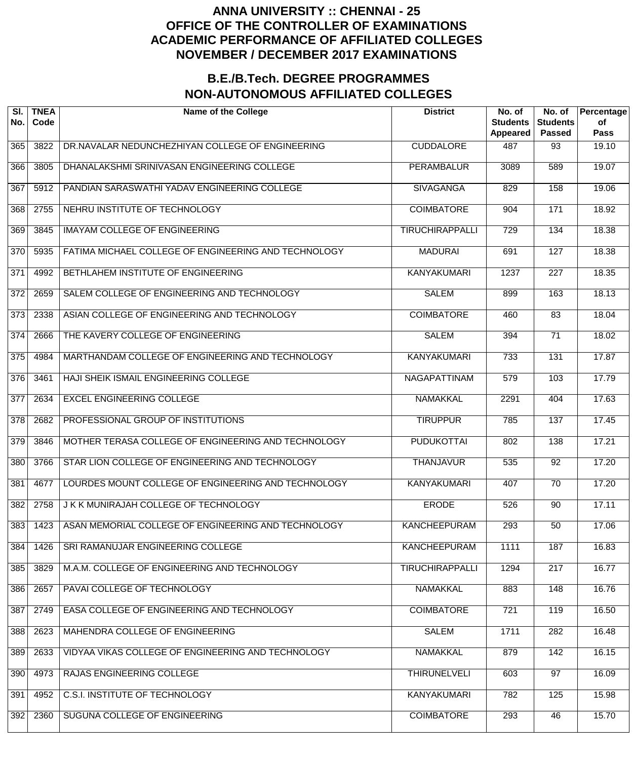| SI.<br>No.       | <b>TNEA</b><br>Code | <b>Name of the College</b>                           | <b>District</b>        | No. of<br><b>Students</b><br>Appeared | No. of<br><b>Students</b><br><b>Passed</b> | Percentage<br>of<br><b>Pass</b> |
|------------------|---------------------|------------------------------------------------------|------------------------|---------------------------------------|--------------------------------------------|---------------------------------|
| 365              | 3822                | DR.NAVALAR NEDUNCHEZHIYAN COLLEGE OF ENGINEERING     | <b>CUDDALORE</b>       | 487                                   | 93                                         | 19.10                           |
| 366              | 3805                | DHANALAKSHMI SRINIVASAN ENGINEERING COLLEGE          | <b>PERAMBALUR</b>      | 3089                                  | 589                                        | 19.07                           |
| 367              | 5912                | PANDIAN SARASWATHI YADAV ENGINEERING COLLEGE         | <b>SIVAGANGA</b>       | 829                                   | 158                                        | 19.06                           |
| 368              | 2755                | NEHRU INSTITUTE OF TECHNOLOGY                        | <b>COIMBATORE</b>      | 904                                   | 171                                        | 18.92                           |
| 369              | 3845                | <b>IMAYAM COLLEGE OF ENGINEERING</b>                 | <b>TIRUCHIRAPPALLI</b> | $\overline{729}$                      | 134                                        | 18.38                           |
| $\overline{370}$ | 5935                | FATIMA MICHAEL COLLEGE OF ENGINEERING AND TECHNOLOGY | <b>MADURAI</b>         | 691                                   | $\overline{127}$                           | 18.38                           |
| 371              | 4992                | BETHLAHEM INSTITUTE OF ENGINEERING                   | <b>KANYAKUMARI</b>     | 1237                                  | $\overline{227}$                           | 18.35                           |
| $\overline{372}$ | 2659                | SALEM COLLEGE OF ENGINEERING AND TECHNOLOGY          | <b>SALEM</b>           | 899                                   | 163                                        | 18.13                           |
| $\overline{373}$ | 2338                | ASIAN COLLEGE OF ENGINEERING AND TECHNOLOGY          | <b>COIMBATORE</b>      | 460                                   | $\overline{83}$                            | 18.04                           |
| $\overline{374}$ | 2666                | THE KAVERY COLLEGE OF ENGINEERING                    | <b>SALEM</b>           | 394                                   | $\overline{71}$                            | 18.02                           |
| $\overline{375}$ | 4984                | MARTHANDAM COLLEGE OF ENGINEERING AND TECHNOLOGY     | <b>KANYAKUMARI</b>     | 733                                   | 131                                        | 17.87                           |
| $\overline{376}$ | 3461                | HAJI SHEIK ISMAIL ENGINEERING COLLEGE                | <b>NAGAPATTINAM</b>    | $\overline{579}$                      | 103                                        | 17.79                           |
| 377              | 2634                | <b>EXCEL ENGINEERING COLLEGE</b>                     | <b>NAMAKKAL</b>        | 2291                                  | 404                                        | 17.63                           |
| $\overline{378}$ | 2682                | PROFESSIONAL GROUP OF INSTITUTIONS                   | <b>TIRUPPUR</b>        | 785                                   | 137                                        | 17.45                           |
| $\overline{379}$ | 3846                | MOTHER TERASA COLLEGE OF ENGINEERING AND TECHNOLOGY  | <b>PUDUKOTTAI</b>      | 802                                   | 138                                        | 17.21                           |
| 380              | 3766                | STAR LION COLLEGE OF ENGINEERING AND TECHNOLOGY      | <b>THANJAVUR</b>       | 535                                   | $\overline{92}$                            | 17.20                           |
| 381              | 4677                | LOURDES MOUNT COLLEGE OF ENGINEERING AND TECHNOLOGY  | <b>KANYAKUMARI</b>     | 407                                   | $\overline{70}$                            | 17.20                           |
| 382              | 2758                | J K K MUNIRAJAH COLLEGE OF TECHNOLOGY                | <b>ERODE</b>           | 526                                   | $\overline{90}$                            | 17.11                           |
| 383              | 1423                | ASAN MEMORIAL COLLEGE OF ENGINEERING AND TECHNOLOGY  | <b>KANCHEEPURAM</b>    | 293                                   | 50                                         | 17.06                           |
| 384              | 1426                | SRI RAMANUJAR ENGINEERING COLLEGE                    | <b>KANCHEEPURAM</b>    | 1111                                  | 187                                        | 16.83                           |
| 385              | 3829                | M.A.M. COLLEGE OF ENGINEERING AND TECHNOLOGY         | <b>TIRUCHIRAPPALLI</b> | 1294                                  | $\overline{217}$                           | 16.77                           |
| 386              | 2657                | PAVAI COLLEGE OF TECHNOLOGY                          | <b>NAMAKKAL</b>        | 883                                   | 148                                        | 16.76                           |
| 387              | 2749                | EASA COLLEGE OF ENGINEERING AND TECHNOLOGY           | <b>COIMBATORE</b>      | 721                                   | 119                                        | 16.50                           |
| 388              | 2623                | MAHENDRA COLLEGE OF ENGINEERING                      | <b>SALEM</b>           | 1711                                  | 282                                        | 16.48                           |
| 389              | 2633                | VIDYAA VIKAS COLLEGE OF ENGINEERING AND TECHNOLOGY   | <b>NAMAKKAL</b>        | 879                                   | 142                                        | 16.15                           |
| 390              | 4973                | RAJAS ENGINEERING COLLEGE                            | <b>THIRUNELVELI</b>    | 603                                   | $\overline{97}$                            | 16.09                           |
| 391              | 4952                | <b>C.S.I. INSTITUTE OF TECHNOLOGY</b>                | <b>KANYAKUMARI</b>     | 782                                   | 125                                        | 15.98                           |
| 392              | 2360                | SUGUNA COLLEGE OF ENGINEERING                        | <b>COIMBATORE</b>      | 293                                   | 46                                         | 15.70                           |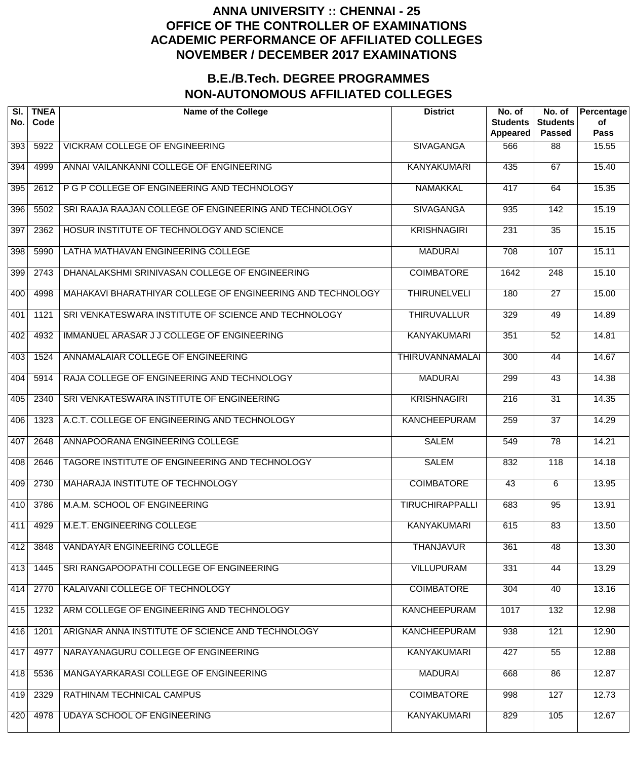| SI.<br>No. | <b>TNEA</b><br>Code | <b>Name of the College</b>                                 | <b>District</b>        | No. of<br><b>Students</b><br><b>Appeared</b> | No. of<br><b>Students</b><br><b>Passed</b> | Percentage<br>of<br><b>Pass</b> |
|------------|---------------------|------------------------------------------------------------|------------------------|----------------------------------------------|--------------------------------------------|---------------------------------|
| 393        | 5922                | <b>VICKRAM COLLEGE OF ENGINEERING</b>                      | <b>SIVAGANGA</b>       | 566                                          | 88                                         | 15.55                           |
| 394        | 4999                | ANNAI VAILANKANNI COLLEGE OF ENGINEERING                   | <b>KANYAKUMARI</b>     | 435                                          | 67                                         | 15.40                           |
| 395        | 2612                | P G P COLLEGE OF ENGINEERING AND TECHNOLOGY                | <b>NAMAKKAL</b>        | 417                                          | 64                                         | 15.35                           |
| 396        | 5502                | SRI RAAJA RAAJAN COLLEGE OF ENGINEERING AND TECHNOLOGY     | <b>SIVAGANGA</b>       | 935                                          | $\overline{142}$                           | 15.19                           |
| 397        | 2362                | HOSUR INSTITUTE OF TECHNOLOGY AND SCIENCE                  | <b>KRISHNAGIRI</b>     | 231                                          | $\overline{35}$                            | 15.15                           |
| 398        | 5990                | LATHA MATHAVAN ENGINEERING COLLEGE                         | <b>MADURAI</b>         | 708                                          | 107                                        | 15.11                           |
| 399        | 2743                | DHANALAKSHMI SRINIVASAN COLLEGE OF ENGINEERING             | <b>COIMBATORE</b>      | 1642                                         | $\overline{248}$                           | 15.10                           |
| 400        | 4998                | MAHAKAVI BHARATHIYAR COLLEGE OF ENGINEERING AND TECHNOLOGY | <b>THIRUNELVELI</b>    | 180                                          | $\overline{27}$                            | 15.00                           |
| 401        | 1121                | SRI VENKATESWARA INSTITUTE OF SCIENCE AND TECHNOLOGY       | <b>THIRUVALLUR</b>     | 329                                          | 49                                         | 14.89                           |
| 402        | 4932                | IMMANUEL ARASAR J J COLLEGE OF ENGINEERING                 | <b>KANYAKUMARI</b>     | 351                                          | $\overline{52}$                            | 14.81                           |
| 403        | 1524                | ANNAMALAIAR COLLEGE OF ENGINEERING                         | <b>THIRUVANNAMALAI</b> | $\overline{300}$                             | 44                                         | 14.67                           |
| 404        | 5914                | RAJA COLLEGE OF ENGINEERING AND TECHNOLOGY                 | <b>MADURAI</b>         | 299                                          | $\overline{43}$                            | 14.38                           |
| 405        | 2340                | SRI VENKATESWARA INSTITUTE OF ENGINEERING                  | <b>KRISHNAGIRI</b>     | $\overline{216}$                             | $\overline{31}$                            | 14.35                           |
| 406        | 1323                | A.C.T. COLLEGE OF ENGINEERING AND TECHNOLOGY               | <b>KANCHEEPURAM</b>    | 259                                          | $\overline{37}$                            | 14.29                           |
| 407        | 2648                | ANNAPOORANA ENGINEERING COLLEGE                            | <b>SALEM</b>           | 549                                          | $\overline{78}$                            | 14.21                           |
| 408        | 2646                | TAGORE INSTITUTE OF ENGINEERING AND TECHNOLOGY             | <b>SALEM</b>           | 832                                          | $\overline{118}$                           | 14.18                           |
| 409        | 2730                | MAHARAJA INSTITUTE OF TECHNOLOGY                           | <b>COIMBATORE</b>      | 43                                           | $\overline{6}$                             | 13.95                           |
| 410        | 3786                | M.A.M. SCHOOL OF ENGINEERING                               | <b>TIRUCHIRAPPALLI</b> | 683                                          | $\overline{95}$                            | 13.91                           |
| 411        | 4929                | M.E.T. ENGINEERING COLLEGE                                 | <b>KANYAKUMARI</b>     | 615                                          | 83                                         | 13.50                           |
| 412        | 3848                | VANDAYAR ENGINEERING COLLEGE                               | <b>THANJAVUR</b>       | 361                                          | $\overline{48}$                            | 13.30                           |
| 413        | 1445                | SRI RANGAPOOPATHI COLLEGE OF ENGINEERING                   | <b>VILLUPURAM</b>      | 331                                          | 44                                         | 13.29                           |
| 414        | 2770                | KALAIVANI COLLEGE OF TECHNOLOGY                            | <b>COIMBATORE</b>      | 304                                          | 40                                         | 13.16                           |
| 415        | 1232                | ARM COLLEGE OF ENGINEERING AND TECHNOLOGY                  | <b>KANCHEEPURAM</b>    | 1017                                         | 132                                        | 12.98                           |
| 416        | 1201                | ARIGNAR ANNA INSTITUTE OF SCIENCE AND TECHNOLOGY           | <b>KANCHEEPURAM</b>    | 938                                          | 121                                        | 12.90                           |
| 417        | 4977                | NARAYANAGURU COLLEGE OF ENGINEERING                        | <b>KANYAKUMARI</b>     | 427                                          | 55                                         | 12.88                           |
| 418        | 5536                | MANGAYARKARASI COLLEGE OF ENGINEERING                      | <b>MADURAI</b>         | 668                                          | 86                                         | 12.87                           |
| 419        | 2329                | RATHINAM TECHNICAL CAMPUS                                  | <b>COIMBATORE</b>      | 998                                          | 127                                        | 12.73                           |
| 420        | 4978                | <b>UDAYA SCHOOL OF ENGINEERING</b>                         | <b>KANYAKUMARI</b>     | 829                                          | 105                                        | 12.67                           |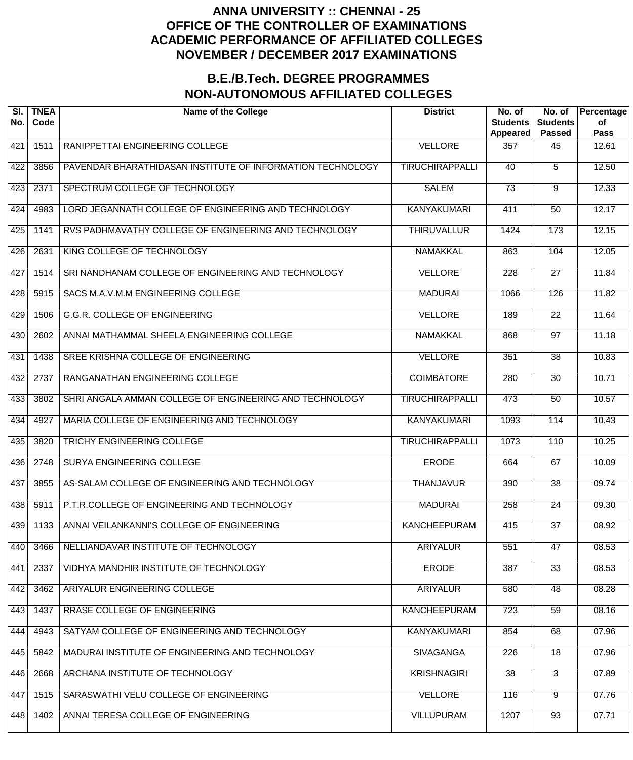| SI.<br>No. | <b>TNEA</b><br>Code | <b>Name of the College</b>                                 | <b>District</b>        | No. of<br><b>Students</b><br><b>Appeared</b> | No. of<br><b>Students</b><br><b>Passed</b> | Percentage<br>of<br><b>Pass</b> |
|------------|---------------------|------------------------------------------------------------|------------------------|----------------------------------------------|--------------------------------------------|---------------------------------|
| 421        | 1511                | RANIPPETTAI ENGINEERING COLLEGE                            | <b>VELLORE</b>         | 357                                          | 45                                         | 12.61                           |
| 422        | 3856                | PAVENDAR BHARATHIDASAN INSTITUTE OF INFORMATION TECHNOLOGY | <b>TIRUCHIRAPPALLI</b> | 40                                           | $\overline{5}$                             | 12.50                           |
| 423        | 2371                | SPECTRUM COLLEGE OF TECHNOLOGY                             | <b>SALEM</b>           | $\overline{73}$                              | 9                                          | 12.33                           |
| 424        | 4983                | LORD JEGANNATH COLLEGE OF ENGINEERING AND TECHNOLOGY       | <b>KANYAKUMARI</b>     | 411                                          | $\overline{50}$                            | 12.17                           |
| 425        | 1141                | RVS PADHMAVATHY COLLEGE OF ENGINEERING AND TECHNOLOGY      | <b>THIRUVALLUR</b>     | 1424                                         | $\overline{173}$                           | 12.15                           |
| 426        | 2631                | KING COLLEGE OF TECHNOLOGY                                 | <b>NAMAKKAL</b>        | 863                                          | 104                                        | 12.05                           |
| 427        | 1514                | SRI NANDHANAM COLLEGE OF ENGINEERING AND TECHNOLOGY        | <b>VELLORE</b>         | 228                                          | $\overline{27}$                            | 11.84                           |
| 428        | 5915                | SACS M.A.V.M.M ENGINEERING COLLEGE                         | <b>MADURAI</b>         | 1066                                         | 126                                        | 11.82                           |
| 429        | 1506                | <b>G.G.R. COLLEGE OF ENGINEERING</b>                       | <b>VELLORE</b>         | 189                                          | $\overline{22}$                            | 11.64                           |
| 430        | 2602                | ANNAI MATHAMMAL SHEELA ENGINEERING COLLEGE                 | <b>NAMAKKAL</b>        | 868                                          | $\overline{97}$                            | 11.18                           |
| 431        | 1438                | SREE KRISHNA COLLEGE OF ENGINEERING                        | <b>VELLORE</b>         | 351                                          | $\overline{38}$                            | 10.83                           |
| 432        | 2737                | RANGANATHAN ENGINEERING COLLEGE                            | <b>COIMBATORE</b>      | 280                                          | $\overline{30}$                            | 10.71                           |
| 433        | 3802                | SHRI ANGALA AMMAN COLLEGE OF ENGINEERING AND TECHNOLOGY    | <b>TIRUCHIRAPPALLI</b> | 473                                          | 50                                         | 10.57                           |
| 434        | 4927                | MARIA COLLEGE OF ENGINEERING AND TECHNOLOGY                | <b>KANYAKUMARI</b>     | 1093                                         | 114                                        | 10.43                           |
| 435        | 3820                | <b>TRICHY ENGINEERING COLLEGE</b>                          | <b>TIRUCHIRAPPALLI</b> | 1073                                         | 110                                        | 10.25                           |
| 436        | 2748                | SURYA ENGINEERING COLLEGE                                  | <b>ERODE</b>           | 664                                          | 67                                         | 10.09                           |
| 437        | 3855                | AS-SALAM COLLEGE OF ENGINEERING AND TECHNOLOGY             | <b>THANJAVUR</b>       | 390                                          | $\overline{38}$                            | 09.74                           |
| 438        | 5911                | P.T.R.COLLEGE OF ENGINEERING AND TECHNOLOGY                | <b>MADURAI</b>         | 258                                          | $\overline{24}$                            | 09.30                           |
| 439        | 1133                | ANNAI VEILANKANNI'S COLLEGE OF ENGINEERING                 | <b>KANCHEEPURAM</b>    | 415                                          | $\overline{37}$                            | 08.92                           |
| 440        | 3466                | NELLIANDAVAR INSTITUTE OF TECHNOLOGY                       | <b>ARIYALUR</b>        | 551                                          | 47                                         | 08.53                           |
| 441        | 2337                | VIDHYA MANDHIR INSTITUTE OF TECHNOLOGY                     | <b>ERODE</b>           | 387                                          | $\overline{33}$                            | 08.53                           |
| 442        | 3462                | ARIYALUR ENGINEERING COLLEGE                               | <b>ARIYALUR</b>        | 580                                          | $\overline{48}$                            | 08.28                           |
| 443        | 1437                | RRASE COLLEGE OF ENGINEERING                               | <b>KANCHEEPURAM</b>    | 723                                          | $\overline{59}$                            | 08.16                           |
| 444        | 4943                | SATYAM COLLEGE OF ENGINEERING AND TECHNOLOGY               | KANYAKUMARI            | 854                                          | 68                                         | 07.96                           |
| 445        | 5842                | MADURAI INSTITUTE OF ENGINEERING AND TECHNOLOGY            | <b>SIVAGANGA</b>       | 226                                          | $\overline{18}$                            | 07.96                           |
| 446        | 2668                | ARCHANA INSTITUTE OF TECHNOLOGY                            | <b>KRISHNAGIRI</b>     | 38                                           | $\overline{3}$                             | 07.89                           |
| 447        | 1515                | SARASWATHI VELU COLLEGE OF ENGINEERING                     | <b>VELLORE</b>         | 116                                          | $\overline{9}$                             | 07.76                           |
| 448        | 1402                | ANNAI TERESA COLLEGE OF ENGINEERING                        | <b>VILLUPURAM</b>      | 1207                                         | 93                                         | 07.71                           |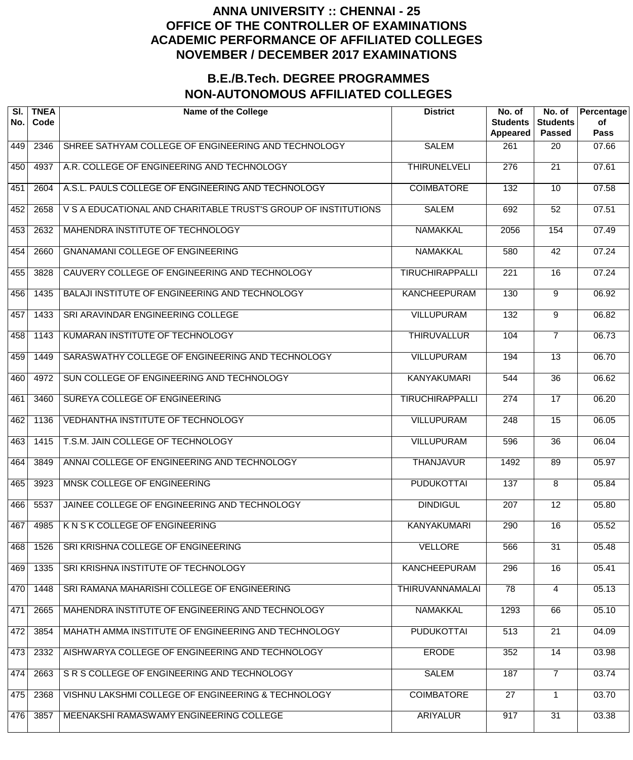| SI.<br>No. | <b>TNEA</b><br>Code | <b>Name of the College</b>                                     | <b>District</b>        | No. of<br><b>Students</b><br>Appeared | No. of<br><b>Students</b><br><b>Passed</b> | Percentage<br>of<br><b>Pass</b> |
|------------|---------------------|----------------------------------------------------------------|------------------------|---------------------------------------|--------------------------------------------|---------------------------------|
| 449        | 2346                | SHREE SATHYAM COLLEGE OF ENGINEERING AND TECHNOLOGY            | <b>SALEM</b>           | 261                                   | 20                                         | 07.66                           |
| 450        | 4937                | A.R. COLLEGE OF ENGINEERING AND TECHNOLOGY                     | <b>THIRUNELVELI</b>    | $\overline{276}$                      | $\overline{21}$                            | 07.61                           |
| 451        | 2604                | A.S.L. PAULS COLLEGE OF ENGINEERING AND TECHNOLOGY             | <b>COIMBATORE</b>      | 132                                   | 10                                         | 07.58                           |
| 452        | 2658                | V S A EDUCATIONAL AND CHARITABLE TRUST'S GROUP OF INSTITUTIONS | <b>SALEM</b>           | 692                                   | 52                                         | 07.51                           |
| 453        | 2632                | MAHENDRA INSTITUTE OF TECHNOLOGY                               | <b>NAMAKKAL</b>        | 2056                                  | 154                                        | 07.49                           |
| 454        | 2660                | <b>GNANAMANI COLLEGE OF ENGINEERING</b>                        | <b>NAMAKKAL</b>        | 580                                   | $\overline{42}$                            | 07.24                           |
| 455        | 3828                | CAUVERY COLLEGE OF ENGINEERING AND TECHNOLOGY                  | <b>TIRUCHIRAPPALLI</b> | 221                                   | 16                                         | 07.24                           |
| 456        | 1435                | BALAJI INSTITUTE OF ENGINEERING AND TECHNOLOGY                 | <b>KANCHEEPURAM</b>    | 130                                   | 9                                          | 06.92                           |
| 457        | 1433                | SRI ARAVINDAR ENGINEERING COLLEGE                              | <b>VILLUPURAM</b>      | 132                                   | 9                                          | 06.82                           |
| 458        | 1143                | KUMARAN INSTITUTE OF TECHNOLOGY                                | <b>THIRUVALLUR</b>     | 104                                   | $\overline{7}$                             | 06.73                           |
| 459        | 1449                | SARASWATHY COLLEGE OF ENGINEERING AND TECHNOLOGY               | <b>VILLUPURAM</b>      | 194                                   | $\overline{13}$                            | 06.70                           |
| 460        | 4972                | SUN COLLEGE OF ENGINEERING AND TECHNOLOGY                      | <b>KANYAKUMARI</b>     | 544                                   | $\overline{36}$                            | 06.62                           |
| 461        | 3460                | SUREYA COLLEGE OF ENGINEERING                                  | <b>TIRUCHIRAPPALLI</b> | 274                                   | $\overline{17}$                            | 06.20                           |
| 462        | 1136                | VEDHANTHA INSTITUTE OF TECHNOLOGY                              | <b>VILLUPURAM</b>      | 248                                   | $\overline{15}$                            | 06.05                           |
| 463        | 1415                | T.S.M. JAIN COLLEGE OF TECHNOLOGY                              | <b>VILLUPURAM</b>      | 596                                   | $\overline{36}$                            | 06.04                           |
| 464        | 3849                | ANNAI COLLEGE OF ENGINEERING AND TECHNOLOGY                    | <b>THANJAVUR</b>       | 1492                                  | 89                                         | 05.97                           |
| 465        | 3923                | MNSK COLLEGE OF ENGINEERING                                    | <b>PUDUKOTTAI</b>      | 137                                   | $\overline{8}$                             | 05.84                           |
| 466        | 5537                | JAINEE COLLEGE OF ENGINEERING AND TECHNOLOGY                   | <b>DINDIGUL</b>        | 207                                   | $\overline{12}$                            | 05.80                           |
| 467        | 4985                | K N S K COLLEGE OF ENGINEERING                                 | <b>KANYAKUMARI</b>     | 290                                   | $\overline{16}$                            | 05.52                           |
| 468        | 1526                | SRI KRISHNA COLLEGE OF ENGINEERING                             | <b>VELLORE</b>         | 566                                   | $\overline{31}$                            | 05.48                           |
| 469        | 1335                | SRI KRISHNA INSTITUTE OF TECHNOLOGY                            | <b>KANCHEEPURAM</b>    | 296                                   | $\overline{16}$                            | 05.41                           |
| 470        | 1448                | SRI RAMANA MAHARISHI COLLEGE OF ENGINEERING                    | <b>THIRUVANNAMALAI</b> | 78                                    | 4                                          | 05.13                           |
| 471        | 2665                | MAHENDRA INSTITUTE OF ENGINEERING AND TECHNOLOGY               | <b>NAMAKKAL</b>        | 1293                                  | 66                                         | 05.10                           |
| 472        | 3854                | MAHATH AMMA INSTITUTE OF ENGINEERING AND TECHNOLOGY            | <b>PUDUKOTTAI</b>      | 513                                   | 21                                         | 04.09                           |
| 473        | 2332                | AISHWARYA COLLEGE OF ENGINEERING AND TECHNOLOGY                | <b>ERODE</b>           | 352                                   | $\overline{14}$                            | 03.98                           |
| 474        | 2663                | S R S COLLEGE OF ENGINEERING AND TECHNOLOGY                    | <b>SALEM</b>           | 187                                   | $\overline{7}$                             | 03.74                           |
| 475        | 2368                | VISHNU LAKSHMI COLLEGE OF ENGINEERING & TECHNOLOGY             | <b>COIMBATORE</b>      | $\overline{27}$                       | 1                                          | 03.70                           |
| 476        | 3857                | MEENAKSHI RAMASWAMY ENGINEERING COLLEGE                        | <b>ARIYALUR</b>        | 917                                   | $\overline{31}$                            | 03.38                           |